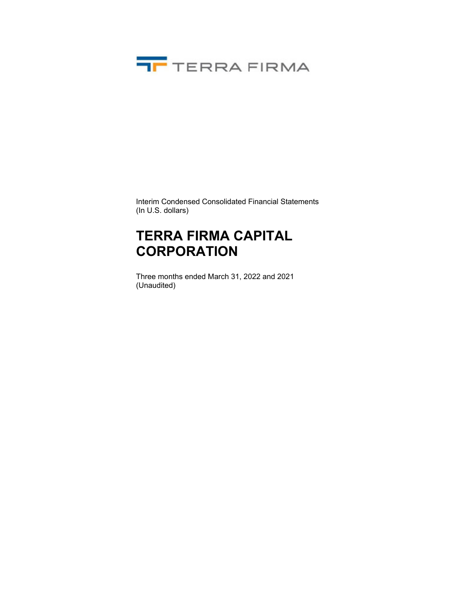

Interim Condensed Consolidated Financial Statements (In U.S. dollars)

## **TERRA FIRMA CAPITAL CORPORATION**

Three months ended March 31, 2022 and 2021 (Unaudited)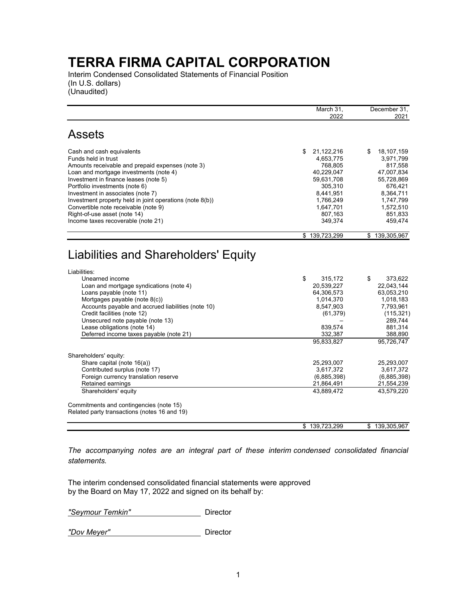Interim Condensed Consolidated Statements of Financial Position (In U.S. dollars) (Unaudited)

|                                                                                         | March 31,                | December 31,             |
|-----------------------------------------------------------------------------------------|--------------------------|--------------------------|
|                                                                                         | 2022                     | 2021                     |
| <b>Assets</b>                                                                           |                          |                          |
| Cash and cash equivalents                                                               | \$<br>21,122,216         | 18,107,159<br>\$         |
| Funds held in trust                                                                     | 4,653,775                | 3,971,799                |
| Amounts receivable and prepaid expenses (note 3)                                        | 768,805                  | 817,558                  |
| Loan and mortgage investments (note 4)                                                  | 40,229,047               | 47,007,834               |
| Investment in finance leases (note 5)<br>Portfolio investments (note 6)                 | 59,631,708<br>305,310    | 55,728,869<br>676,421    |
| Investment in associates (note 7)                                                       | 8,441,951                | 8,364,711                |
| Investment property held in joint operations (note 8(b))                                | 1,766,249                | 1,747,799                |
| Convertible note receivable (note 9)                                                    | 1,647,701                | 1,572,510                |
| Right-of-use asset (note 14)                                                            | 807,163                  | 851,833                  |
| Income taxes recoverable (note 21)                                                      | 349,374                  | 459,474                  |
|                                                                                         | \$139,723,299            | 139,305,967<br>\$        |
| Liabilities and Shareholders' Equity<br>Liabilities:                                    |                          |                          |
| Unearned income                                                                         | \$                       | \$<br>373,622            |
| Loan and mortgage syndications (note 4)                                                 | 315,172<br>20,539,227    | 22,043,144               |
| Loans payable (note 11)                                                                 | 64,306,573               | 63,053,210               |
| Mortgages payable (note 8(c))                                                           | 1,014,370                | 1,018,183                |
| Accounts payable and accrued liabilities (note 10)                                      | 8,547,903                | 7,793,961                |
| Credit facilities (note 12)                                                             | (61, 379)                | (115, 321)               |
| Unsecured note payable (note 13)<br>Lease obligations (note 14)                         | 839,574                  | 289,744<br>881,314       |
| Deferred income taxes payable (note 21)                                                 | 332,387                  | 388,890                  |
|                                                                                         | 95,833,827               | 95,726,747               |
| Shareholders' equity:                                                                   |                          |                          |
| Share capital (note 16(a))                                                              | 25,293,007               | 25,293,007               |
| Contributed surplus (note 17)                                                           | 3,617,372                | 3,617,372                |
| Foreign currency translation reserve                                                    | (6,885,398)              | (6,885,398)              |
| Retained earnings<br>Shareholders' equity                                               | 21,864,491<br>43,889,472 | 21,554,239<br>43,579,220 |
|                                                                                         |                          |                          |
| Commitments and contingencies (note 15)<br>Related party transactions (notes 16 and 19) |                          |                          |
|                                                                                         | \$139,723,299            | 139,305,967<br>\$        |

*The accompanying notes are an integral part of these interim condensed consolidated financial statements.*

The interim condensed consolidated financial statements were approved by the Board on May 17, 2022 and signed on its behalf by:

*"Seymour Temkin"* Director

*"Dov Meyer"* Director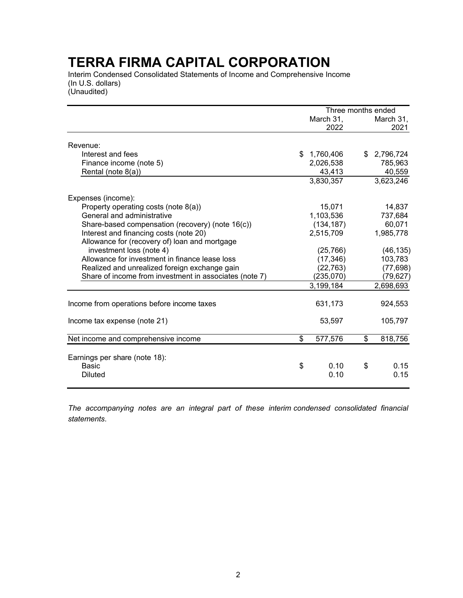Interim Condensed Consolidated Statements of Income and Comprehensive Income (In U.S. dollars)

(Unaudited)

|                                                        |    | Three months ended |    |                   |
|--------------------------------------------------------|----|--------------------|----|-------------------|
|                                                        |    | March 31,<br>2022  |    | March 31,<br>2021 |
| Revenue:                                               |    |                    |    |                   |
| Interest and fees                                      | \$ | 1,760,406          | \$ | 2,796,724         |
| Finance income (note 5)                                |    | 2,026,538          |    | 785,963           |
| Rental (note 8(a))                                     |    | 43,413             |    | 40,559            |
|                                                        |    | 3,830,357          |    | 3,623,246         |
| Expenses (income):                                     |    |                    |    |                   |
| Property operating costs (note 8(a))                   |    | 15,071             |    | 14,837            |
| General and administrative                             |    | 1,103,536          |    | 737,684           |
| Share-based compensation (recovery) (note 16(c))       |    | (134, 187)         |    | 60,071            |
| Interest and financing costs (note 20)                 |    | 2,515,709          |    | 1,985,778         |
| Allowance for (recovery of) loan and mortgage          |    |                    |    |                   |
| investment loss (note 4)                               |    | (25, 766)          |    | (46, 135)         |
| Allowance for investment in finance lease loss         |    | (17, 346)          |    | 103,783           |
| Realized and unrealized foreign exchange gain          |    | (22, 763)          |    | (77, 698)         |
| Share of income from investment in associates (note 7) |    | (235,070)          |    | (79,627)          |
|                                                        |    | 3,199,184          |    | 2,698,693         |
| Income from operations before income taxes             |    | 631,173            |    | 924,553           |
| Income tax expense (note 21)                           |    | 53,597             |    | 105,797           |
| Net income and comprehensive income                    | \$ | 577,576            | \$ | 818,756           |
| Earnings per share (note 18):                          |    |                    |    |                   |
| <b>Basic</b>                                           | \$ | 0.10               | \$ | 0.15              |
| <b>Diluted</b>                                         |    | 0.10               |    | 0.15              |
|                                                        |    |                    |    |                   |

*The accompanying notes are an integral part of these interim condensed consolidated financial statements*.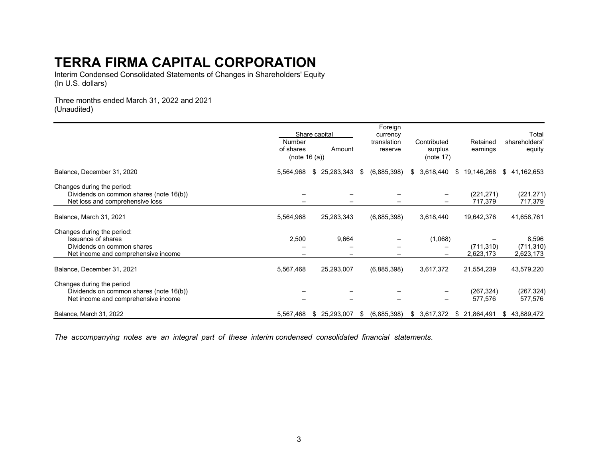Interim Condensed Consolidated Statements of Changes in Shareholders' Equity (In U.S. dollars)

Three months ended March 31, 2022 and 2021 (Unaudited)

|                                         |               |                  | Foreign           |                 |                  |                  |
|-----------------------------------------|---------------|------------------|-------------------|-----------------|------------------|------------------|
|                                         |               | Share capital    | currency          |                 |                  | Total            |
|                                         | Number        |                  | translation       | Contributed     | Retained         | shareholders'    |
|                                         | of shares     | Amount           | reserve           | surplus         | earnings         | equity           |
|                                         | (note 16 (a)) |                  |                   | (note $17$ )    |                  |                  |
| Balance, December 31, 2020              | 5,564,968     | \$25,283,343     | (6,885,398)<br>\$ | 3,618,440<br>\$ | 19,146,268<br>\$ | 41,162,653<br>\$ |
| Changes during the period:              |               |                  |                   |                 |                  |                  |
| Dividends on common shares (note 16(b)) |               |                  |                   |                 | (221, 271)       | (221, 271)       |
| Net loss and comprehensive loss         |               |                  |                   |                 | 717,379          | 717,379          |
| Balance, March 31, 2021                 | 5,564,968     | 25,283,343       | (6,885,398)       | 3,618,440       | 19,642,376       | 41,658,761       |
| Changes during the period:              |               |                  |                   |                 |                  |                  |
| <b>Issuance of shares</b>               | 2,500         | 9,664            |                   | (1,068)         |                  | 8,596            |
| Dividends on common shares              |               |                  |                   |                 | (711, 310)       | (711, 310)       |
| Net income and comprehensive income     |               |                  |                   |                 | 2,623,173        | 2,623,173        |
| Balance, December 31, 2021              | 5,567,468     | 25,293,007       | (6,885,398)       | 3,617,372       | 21,554,239       | 43,579,220       |
| Changes during the period               |               |                  |                   |                 |                  |                  |
| Dividends on common shares (note 16(b)) |               |                  |                   |                 | (267, 324)       | (267, 324)       |
| Net income and comprehensive income     |               |                  |                   |                 | 577,576          | 577,576          |
| Balance, March 31, 2022                 | 5,567,468     | 25,293,007<br>S. | (6,885,398)<br>\$ | 3,617,372<br>\$ | 21,864,491<br>\$ | 43,889,472<br>\$ |

*The accompanying notes are an integral part of these interim condensed consolidated financial statements*.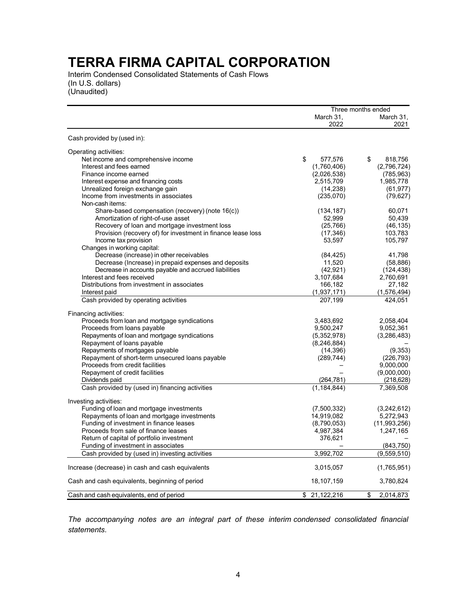Interim Condensed Consolidated Statements of Cash Flows (In U.S. dollars) (Unaudited)

|                                                              |                   | Three months ended |
|--------------------------------------------------------------|-------------------|--------------------|
|                                                              | March 31,<br>2022 | March 31,<br>2021  |
| Cash provided by (used in):                                  |                   |                    |
| Operating activities:                                        |                   |                    |
| Net income and comprehensive income                          | \$<br>577,576     | \$<br>818,756      |
| Interest and fees earned                                     | (1,760,406)       | (2,796,724)        |
| Finance income earned                                        | (2,026,538)       | (785, 963)         |
| Interest expense and financing costs                         | 2,515,709         | 1,985,778          |
| Unrealized foreign exchange gain                             | (14, 238)         | (61, 977)          |
| Income from investments in associates                        | (235,070)         | (79, 627)          |
| Non-cash items:                                              |                   |                    |
| Share-based compensation (recovery) (note 16(c))             | (134, 187)        | 60,071             |
| Amortization of right-of-use asset                           | 52,999            | 50,439             |
| Recovery of loan and mortgage investment loss                | (25, 766)         | (46, 135)          |
| Provision (recovery of) for investment in finance lease loss | (17, 346)         | 103,783            |
| Income tax provision                                         | 53,597            | 105,797            |
| Changes in working capital:                                  |                   |                    |
| Decrease (increase) in other receivables                     | (84, 425)         | 41,798             |
| Decrease (Increase) in prepaid expenses and deposits         | 11,520            | (58, 886)          |
| Decrease in accounts payable and accrued liabilities         | (42, 921)         | (124, 438)         |
| Interest and fees received                                   | 3,107,684         | 2,760,691          |
| Distributions from investment in associates                  | 166,182           | 27,182             |
| Interest paid                                                | (1,937,171)       | (1,576,494)        |
| Cash provided by operating activities                        | 207,199           | 424.051            |
| Financing activities:                                        |                   |                    |
| Proceeds from loan and mortgage syndications                 | 3,483,692         | 2,058,404          |
| Proceeds from loans payable                                  | 9,500,247         | 9,052,361          |
| Repayments of loan and mortgage syndications                 | (5,352,978)       | (3,286,483)        |
| Repayment of loans payable                                   | (8, 246, 884)     |                    |
| Repayments of mortgages payable                              | (14, 396)         | (9,353)            |
| Repayment of short-term unsecured loans payable              | (289, 744)        | (226, 793)         |
| Proceeds from credit facilities                              |                   | 9,000,000          |
| Repayment of credit facilities                               |                   | (9,000,000)        |
| Dividends paid                                               | (264, 781)        | (218, 628)         |
| Cash provided by (used in) financing activities              | (1, 184, 844)     | 7,369,508          |
| Investing activities:                                        |                   |                    |
| Funding of loan and mortgage investments                     | (7,500,332)       | (3,242,612)        |
| Repayments of loan and mortgage investments                  | 14,919,082        | 5,272,943          |
| Funding of investment in finance leases                      | (8,790,053)       | (11,993,256)       |
| Proceeds from sale of finance leases                         | 4,987,384         | 1,247,165          |
| Return of capital of portfolio investment                    | 376,621           |                    |
| Funding of investment in associates                          |                   | (843,750)          |
| Cash provided by (used in) investing activities              | 3,992,702         | (9,559,510)        |
|                                                              |                   |                    |
| Increase (decrease) in cash and cash equivalents             | 3,015,057         | (1,765,951)        |
| Cash and cash equivalents, beginning of period               | 18,107,159        | 3,780,824          |
| Cash and cash equivalents, end of period                     | 21,122,216<br>\$  | 2,014,873<br>\$    |

*The accompanying notes are an integral part of these interim condensed consolidated financial statements*.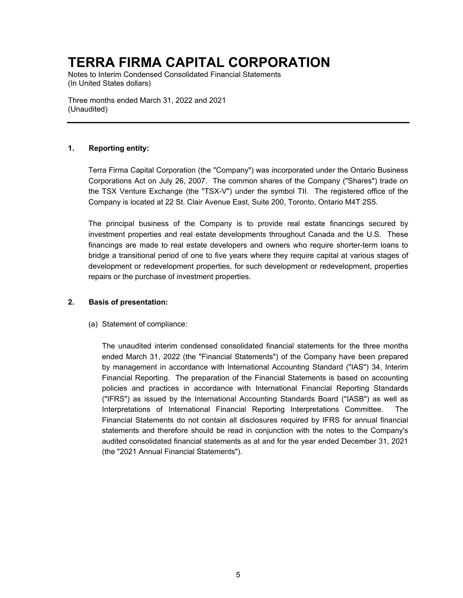Notes to Interim Condensed Consolidated Financial Statements (In United States dollars)

Three months ended March 31, 2022 and 2021 (Unaudited)

### **1. Reporting entity:**

Terra Firma Capital Corporation (the "Company") was incorporated under the Ontario Business Corporations Act on July 26, 2007. The common shares of the Company ("Shares") trade on the TSX Venture Exchange (the "TSX-V") under the symbol TII. The registered office of the Company is located at 22 St. Clair Avenue East, Suite 200, Toronto, Ontario M4T 2S5.

The principal business of the Company is to provide real estate financings secured by investment properties and real estate developments throughout Canada and the U.S. These financings are made to real estate developers and owners who require shorter-term loans to bridge a transitional period of one to five years where they require capital at various stages of development or redevelopment properties, for such development or redevelopment, properties repairs or the purchase of investment properties.

### **2. Basis of presentation:**

(a) Statement of compliance:

The unaudited interim condensed consolidated financial statements for the three months ended March 31, 2022 (the "Financial Statements") of the Company have been prepared by management in accordance with International Accounting Standard ("IAS") 34, Interim Financial Reporting. The preparation of the Financial Statements is based on accounting policies and practices in accordance with International Financial Reporting Standards ("IFRS") as issued by the International Accounting Standards Board ("IASB") as well as Interpretations of International Financial Reporting Interpretations Committee. The Financial Statements do not contain all disclosures required by IFRS for annual financial statements and therefore should be read in conjunction with the notes to the Company's audited consolidated financial statements as at and for the year ended December 31, 2021 (the "2021 Annual Financial Statements").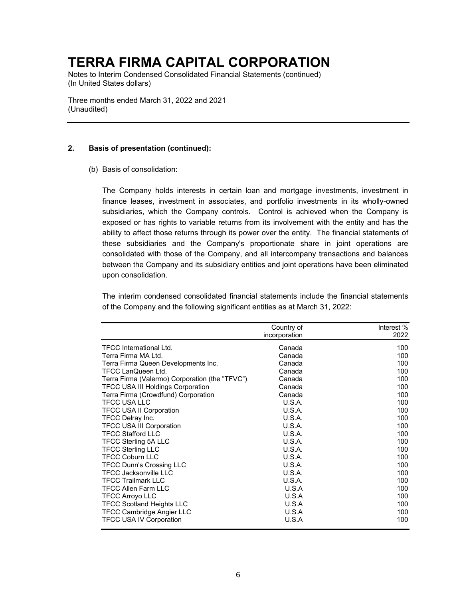Notes to Interim Condensed Consolidated Financial Statements (continued) (In United States dollars)

Three months ended March 31, 2022 and 2021 (Unaudited)

### **2. Basis of presentation (continued):**

(b) Basis of consolidation:

The Company holds interests in certain loan and mortgage investments, investment in finance leases, investment in associates, and portfolio investments in its wholly-owned subsidiaries, which the Company controls. Control is achieved when the Company is exposed or has rights to variable returns from its involvement with the entity and has the ability to affect those returns through its power over the entity. The financial statements of these subsidiaries and the Company's proportionate share in joint operations are consolidated with those of the Company, and all intercompany transactions and balances between the Company and its subsidiary entities and joint operations have been eliminated upon consolidation.

The interim condensed consolidated financial statements include the financial statements of the Company and the following significant entities as at March 31, 2022:

|                                                | Country of    | Interest % |
|------------------------------------------------|---------------|------------|
|                                                | incorporation | 2022       |
| <b>TFCC International Ltd.</b>                 | Canada        | 100        |
| Terra Firma MA Ltd.                            | Canada        | 100        |
| Terra Firma Queen Developments Inc.            | Canada        | 100        |
| <b>TFCC LanQueen Ltd.</b>                      | Canada        | 100        |
| Terra Firma (Valermo) Corporation (the "TFVC") | Canada        | 100        |
| <b>TFCC USA III Holdings Corporation</b>       | Canada        | 100        |
| Terra Firma (Crowdfund) Corporation            | Canada        | 100        |
| <b>TFCC USA LLC</b>                            | U.S.A.        | 100        |
| <b>TFCC USA II Corporation</b>                 | <b>U.S.A.</b> | 100        |
| TFCC Delray Inc.                               | U.S.A.        | 100        |
| <b>TFCC USA III Corporation</b>                | U.S.A.        | 100        |
| <b>TFCC Stafford LLC</b>                       | U.S.A.        | 100        |
| TFCC Sterling 5A LLC                           | U.S.A.        | 100        |
| <b>TFCC Sterling LLC</b>                       | <b>U.S.A.</b> | 100        |
| <b>TFCC Coburn LLC</b>                         | U.S.A.        | 100        |
| <b>TFCC Dunn's Crossing LLC</b>                | U.S.A.        | 100        |
| <b>TFCC Jacksonville LLC</b>                   | U.S.A.        | 100        |
| <b>TFCC Trailmark LLC</b>                      | <b>U.S.A.</b> | 100        |
| <b>TFCC Allen Farm LLC</b>                     | U.S.A         | 100        |
| <b>TFCC Arroyo LLC</b>                         | U.S.A         | 100        |
| <b>TFCC Scotland Heights LLC</b>               | U.S.A         | 100        |
| <b>TFCC Cambridge Angier LLC</b>               | U.S.A         | 100        |
| <b>TFCC USA IV Corporation</b>                 | U.S.A         | 100        |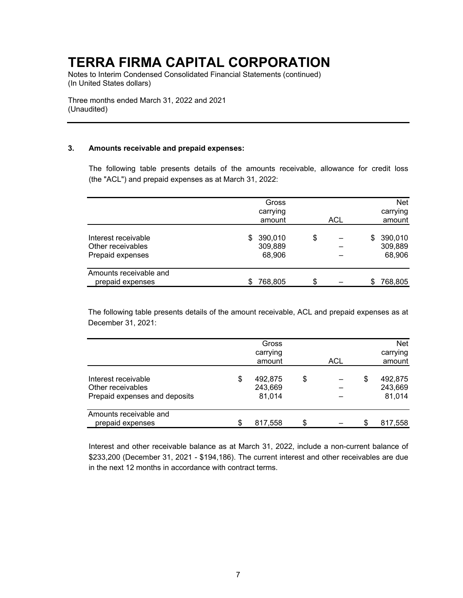Notes to Interim Condensed Consolidated Financial Statements (continued) (In United States dollars)

Three months ended March 31, 2022 and 2021 (Unaudited)

### **3. Amounts receivable and prepaid expenses:**

The following table presents details of the amounts receivable, allowance for credit loss (the "ACL") and prepaid expenses as at March 31, 2022:

|                                                              | Gross<br>carrying<br>amount    | ACL |     | <b>Net</b><br>carrying<br>amount |
|--------------------------------------------------------------|--------------------------------|-----|-----|----------------------------------|
| Interest receivable<br>Other receivables<br>Prepaid expenses | \$390,010<br>309,889<br>68,906 | \$  | SS. | 390,010<br>309,889<br>68,906     |
| Amounts receivable and<br>prepaid expenses                   | 768,805                        | \$  | S   | 768,805                          |

The following table presents details of the amount receivable, ACL and prepaid expenses as at December 31, 2021:

|                                                                           | Gross<br>carrying<br>amount        | ACL |    | <b>Net</b><br>carrying<br>amount |
|---------------------------------------------------------------------------|------------------------------------|-----|----|----------------------------------|
| Interest receivable<br>Other receivables<br>Prepaid expenses and deposits | \$<br>492,875<br>243,669<br>81,014 | \$  | \$ | 492,875<br>243,669<br>81,014     |
| Amounts receivable and<br>prepaid expenses                                | 817,558                            | \$  | S  | 817,558                          |

Interest and other receivable balance as at March 31, 2022, include a non-current balance of \$233,200 (December 31, 2021 - \$194,186). The current interest and other receivables are due in the next 12 months in accordance with contract terms.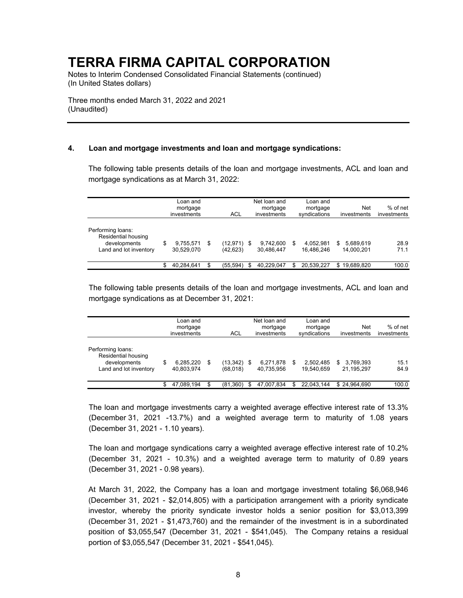Notes to Interim Condensed Consolidated Financial Statements (continued) (In United States dollars)

Three months ended March 31, 2022 and 2021 (Unaudited)

### **4. Loan and mortgage investments and loan and mortgage syndications:**

The following table presents details of the loan and mortgage investments, ACL and loan and mortgage syndications as at March 31, 2022:

|                                                                                    | Loan and<br>mortgage<br>investments |                         |    |                          |  | Net loan and<br>mortgage<br>investments | Loan and<br>mortgage<br>syndications | Net<br>investments            | $%$ of net<br>investments |  |
|------------------------------------------------------------------------------------|-------------------------------------|-------------------------|----|--------------------------|--|-----------------------------------------|--------------------------------------|-------------------------------|---------------------------|--|
| Performing loans:<br>Residential housing<br>developments<br>Land and lot inventory | \$                                  | 9,755,571<br>30.529.070 | \$ | (12,971) \$<br>(42, 623) |  | 9,742,600<br>30.486.447                 | \$<br>4.052.981<br>16.486.246        | 5,689,619<br>S.<br>14.000.201 | 28.9<br>71.1              |  |
|                                                                                    |                                     | 40.284.641              | \$ | (55, 594)                |  | 40,229,047                              | 20,539,227                           | 19,689,820<br>\$              | 100.0                     |  |

The following table presents details of the loan and mortgage investments, ACL and loan and mortgage syndications as at December 31, 2021:

|                                                                                    |                               | Loan and<br>mortgage<br>investments | ACL                        |      | Net loan and<br>mortgage<br>investments |    | Loan and<br>mortgage<br>syndications | Net<br>investments            | % of net<br>investments |
|------------------------------------------------------------------------------------|-------------------------------|-------------------------------------|----------------------------|------|-----------------------------------------|----|--------------------------------------|-------------------------------|-------------------------|
| Performing loans:<br>Residential housing<br>developments<br>Land and lot inventory | 6,285,220<br>\$<br>40.803.974 |                                     | \$<br>(13,342)<br>(68,018) | - \$ | 6,271,878<br>40.735.956                 | S  | 2.502.485<br>19.540.659              | 3,769,393<br>\$<br>21.195.297 | 15.1<br>84.9            |
|                                                                                    | \$                            | 47,089,194                          | \$<br>(81, 360)            | £.   | 47,007,834                              | \$ | 22.043.144                           | \$24.964.690                  | 100.0                   |

The loan and mortgage investments carry a weighted average effective interest rate of 13.3% (December 31, 2021 -13.7%) and a weighted average term to maturity of 1.08 years (December 31, 2021 - 1.10 years).

The loan and mortgage syndications carry a weighted average effective interest rate of 10.2% (December 31, 2021 - 10.3%) and a weighted average term to maturity of 0.89 years (December 31, 2021 - 0.98 years).

At March 31, 2022, the Company has a loan and mortgage investment totaling \$6,068,946 (December 31, 2021 - \$2,014,805) with a participation arrangement with a priority syndicate investor, whereby the priority syndicate investor holds a senior position for \$3,013,399 (December 31, 2021 - \$1,473,760) and the remainder of the investment is in a subordinated position of \$3,055,547 (December 31, 2021 - \$541,045). The Company retains a residual portion of \$3,055,547 (December 31, 2021 - \$541,045).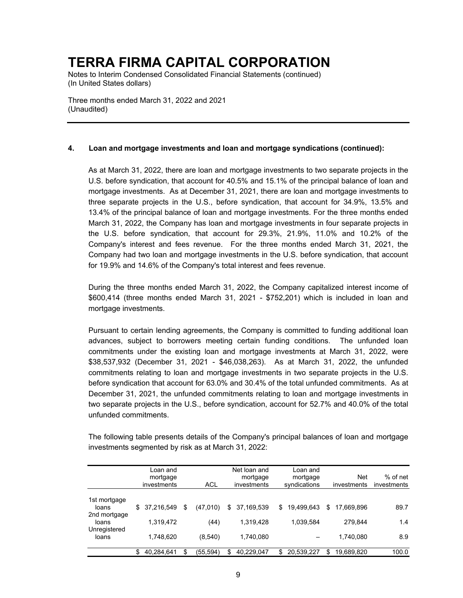Notes to Interim Condensed Consolidated Financial Statements (continued) (In United States dollars)

Three months ended March 31, 2022 and 2021 (Unaudited)

### **4. Loan and mortgage investments and loan and mortgage syndications (continued):**

As at March 31, 2022, there are loan and mortgage investments to two separate projects in the U.S. before syndication, that account for 40.5% and 15.1% of the principal balance of loan and mortgage investments. As at December 31, 2021, there are loan and mortgage investments to three separate projects in the U.S., before syndication, that account for 34.9%, 13.5% and 13.4% of the principal balance of loan and mortgage investments. For the three months ended March 31, 2022, the Company has loan and mortgage investments in four separate projects in the U.S. before syndication, that account for 29.3%, 21.9%, 11.0% and 10.2% of the Company's interest and fees revenue. For the three months ended March 31, 2021, the Company had two loan and mortgage investments in the U.S. before syndication, that account for 19.9% and 14.6% of the Company's total interest and fees revenue.

During the three months ended March 31, 2022, the Company capitalized interest income of \$600,414 (three months ended March 31, 2021 - \$752,201) which is included in loan and mortgage investments.

Pursuant to certain lending agreements, the Company is committed to funding additional loan advances, subject to borrowers meeting certain funding conditions. The unfunded loan commitments under the existing loan and mortgage investments at March 31, 2022, were \$38,537,932 (December 31, 2021 - \$46,038,263). As at March 31, 2022, the unfunded commitments relating to loan and mortgage investments in two separate projects in the U.S. before syndication that account for 63.0% and 30.4% of the total unfunded commitments. As at December 31, 2021, the unfunded commitments relating to loan and mortgage investments in two separate projects in the U.S., before syndication, account for 52.7% and 40.0% of the total unfunded commitments.

The following table presents details of the Company's principal balances of loan and mortgage investments segmented by risk as at March 31, 2022:

|                                       | Loan and<br>mortgage<br>investments | ACL             | Net loan and<br>mortgage<br>investments | Loan and<br>mortgage<br>syndications |     | <b>Net</b><br>investments | $%$ of net<br>investments |
|---------------------------------------|-------------------------------------|-----------------|-----------------------------------------|--------------------------------------|-----|---------------------------|---------------------------|
| 1st mortgage<br>loans                 | \$<br>37.216.549                    | \$<br>(47,010)  | \$<br>37,169,539                        | \$<br>19.499.643                     | \$  | 17.669.896                | 89.7                      |
| 2nd mortgage<br>loans<br>Unregistered | 1.319.472                           | (44)            | 1,319,428                               | 1,039,584                            |     | 279,844                   | 1.4                       |
| loans                                 | 1,748,620                           | (8,540)         | 1,740,080                               |                                      |     | 1,740,080                 | 8.9                       |
|                                       | 40,284,641                          | \$<br>(55, 594) | \$<br>40,229,047                        | \$<br>20,539,227                     | \$. | 19,689,820                | 100.0                     |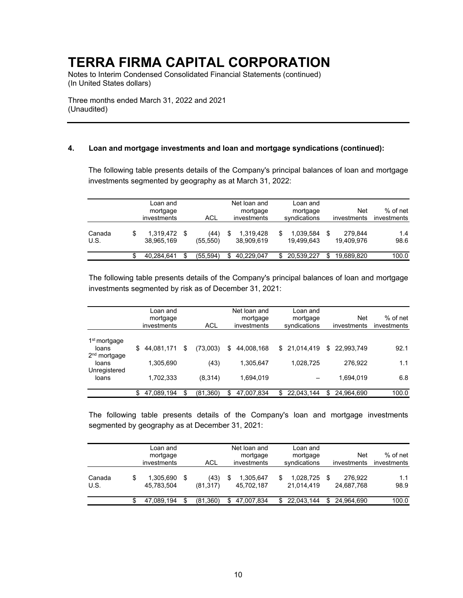Notes to Interim Condensed Consolidated Financial Statements (continued) (In United States dollars)

Three months ended March 31, 2022 and 2021 (Unaudited)

### **4. Loan and mortgage investments and loan and mortgage syndications (continued):**

The following table presents details of the Company's principal balances of loan and mortgage investments segmented by geography as at March 31, 2022:

|                | Loan and<br>mortgage<br>investments |      | ACL              | Net loan and<br>mortgage<br>investments | Loan and<br>mortgage<br>syndications |     | Net<br>investments    | % of net<br>investments |
|----------------|-------------------------------------|------|------------------|-----------------------------------------|--------------------------------------|-----|-----------------------|-------------------------|
| Canada<br>U.S. | \$<br>1.319.472<br>38,965,169       | - \$ | (44)<br>(55,550) | 1.319.428<br>38,909,619                 | 1,039,584<br>19.499.643              | \$  | 279.844<br>19.409.976 | 1.4<br>98.6             |
|                | 40.284.641                          |      | (55.594)         | 40.229.047                              | 20.539.227                           | \$. | 19.689.820            | 100.0                   |

The following table presents details of the Company's principal balances of loan and mortgage investments segmented by risk as of December 31, 2021:

|                                                   |     | Loan and<br>mortgage<br>investments | <b>ACL</b>      | Net loan and<br>mortgage<br>investments | Loan and<br>mortgage<br>syndications | <b>Net</b><br>investments | $%$ of net<br>investments |
|---------------------------------------------------|-----|-------------------------------------|-----------------|-----------------------------------------|--------------------------------------|---------------------------|---------------------------|
| 1 <sup>st</sup> mortgage<br>loans                 |     | \$44,081,171                        | \$<br>(73,003)  | \$<br>44,008,168                        | \$21,014,419                         | \$22,993,749              | 92.1                      |
| 2 <sup>nd</sup> mortgage<br>loans<br>Unregistered |     | 1,305,690                           | (43)            | 1,305,647                               | 1,028,725                            | 276,922                   | 1.1                       |
| loans                                             |     | 1,702,333                           | (8,314)         | 1,694,019                               |                                      | 1,694,019                 | 6.8                       |
|                                                   | \$. | 47,089,194                          | \$<br>(81, 360) | \$<br>47,007,834                        | \$<br>22,043,144                     | \$<br>24,964,690          | 100.0                     |

The following table presents details of the Company's loan and mortgage investments segmented by geography as at December 31, 2021:

|                |   | Loan and<br>mortgage<br>investments |    | ACL               |    | Net loan and<br>mortgage<br>investments | Loan and<br>mortgage<br>syndications |     | Net<br>investments    | % of net<br>investments |
|----------------|---|-------------------------------------|----|-------------------|----|-----------------------------------------|--------------------------------------|-----|-----------------------|-------------------------|
| Canada<br>U.S. | S | 1.305.690<br>45,783,504             | -S | (43)<br>(81, 317) | S  | 1.305.647<br>45,702,187                 | 1,028,725<br>21,014,419              |     | 276.922<br>24,687,768 | 1.1<br>98.9             |
|                |   | 47.089.194                          |    | (81.360)          | S. | 47.007.834                              | 22.043.144                           | \$. | 24.964.690            | 100.0                   |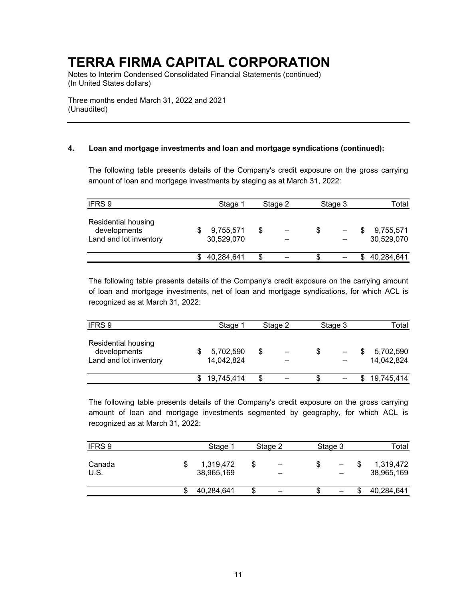Notes to Interim Condensed Consolidated Financial Statements (continued) (In United States dollars)

Three months ended March 31, 2022 and 2021 (Unaudited)

### **4. Loan and mortgage investments and loan and mortgage syndications (continued):**

The following table presents details of the Company's credit exposure on the gross carrying amount of loan and mortgage investments by staging as at March 31, 2022:

| IFRS 9                                                        | Stage 1                 |    | Stage 2 | Stage 3 | Total                   |
|---------------------------------------------------------------|-------------------------|----|---------|---------|-------------------------|
| Residential housing<br>developments<br>Land and lot inventory | 9,755,571<br>30,529,070 | \$ |         |         | 9,755,571<br>30,529,070 |
|                                                               | 40,284,641              | S  |         |         | \$40,284,641            |

The following table presents details of the Company's credit exposure on the carrying amount of loan and mortgage investments, net of loan and mortgage syndications, for which ACL is recognized as at March 31, 2022:

| IFRS 9                                                        | Stage 1                 |    | Stage 2 | Stage 3 | Total                   |
|---------------------------------------------------------------|-------------------------|----|---------|---------|-------------------------|
| Residential housing<br>developments<br>Land and lot inventory | 5,702,590<br>14,042,824 | \$ |         |         | 5,702,590<br>14,042,824 |
|                                                               | 19,745,414              | S. |         |         | 19,745,414              |

The following table presents details of the Company's credit exposure on the gross carrying amount of loan and mortgage investments segmented by geography, for which ACL is recognized as at March 31, 2022:

| IFRS 9         | Stage 1 | Stage 2                 | Stage 3 |  |   | Total |                         |  |
|----------------|---------|-------------------------|---------|--|---|-------|-------------------------|--|
| Canada<br>U.S. |         | 1,319,472<br>38,965,169 |         |  | - |       | 1,319,472<br>38,965,169 |  |
|                |         | 40,284,641              |         |  |   |       | 40,284,641              |  |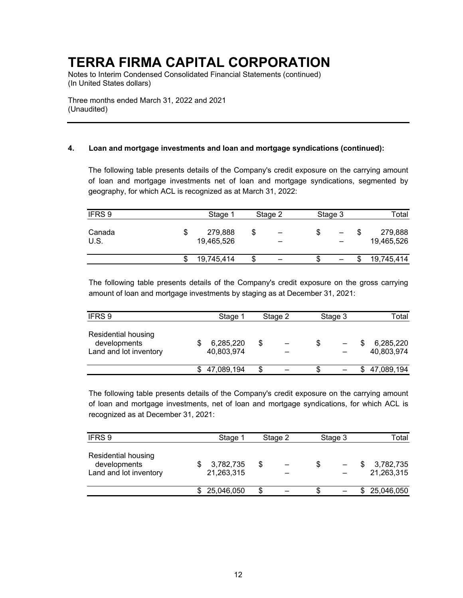Notes to Interim Condensed Consolidated Financial Statements (continued) (In United States dollars)

Three months ended March 31, 2022 and 2021 (Unaudited)

### **4. Loan and mortgage investments and loan and mortgage syndications (continued):**

The following table presents details of the Company's credit exposure on the carrying amount of loan and mortgage investments net of loan and mortgage syndications, segmented by geography, for which ACL is recognized as at March 31, 2022:

| IFRS 9         | Stage 1 | Stage 2               |    | Stage 3                       |  |   | Total |                       |  |
|----------------|---------|-----------------------|----|-------------------------------|--|---|-------|-----------------------|--|
| Canada<br>U.S. | Œ       | 279,888<br>19,465,526 | \$ | $\overline{\phantom{0}}$<br>- |  |   |       | 279,888<br>19,465,526 |  |
|                |         | 19,745,414            |    |                               |  | - |       | 19,745,414            |  |

The following table presents details of the Company's credit exposure on the gross carrying amount of loan and mortgage investments by staging as at December 31, 2021:

| IFRS 9                                                        |  | Stage 1                 | Stage 2 |  | Stage 3 |  |  | Total                   |
|---------------------------------------------------------------|--|-------------------------|---------|--|---------|--|--|-------------------------|
| Residential housing<br>developments<br>Land and lot inventory |  | 6,285,220<br>40,803,974 | \$      |  |         |  |  | 6,285,220<br>40,803,974 |
|                                                               |  | 47,089,194              | S       |  |         |  |  | \$47,089,194            |

The following table presents details of the Company's credit exposure on the carrying amount of loan and mortgage investments, net of loan and mortgage syndications, for which ACL is recognized as at December 31, 2021:

| IFRS 9                                                               |  | Stage 1                 | Stage 2 |  | Stage 3 |  |  | Total                   |
|----------------------------------------------------------------------|--|-------------------------|---------|--|---------|--|--|-------------------------|
| <b>Residential housing</b><br>developments<br>Land and lot inventory |  | 3,782,735<br>21,263,315 | \$      |  |         |  |  | 3,782,735<br>21,263,315 |
|                                                                      |  | \$25,046,050            | \$      |  |         |  |  | \$25,046,050            |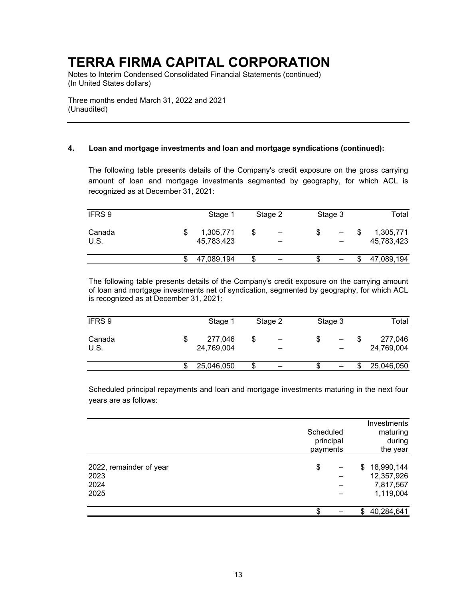Notes to Interim Condensed Consolidated Financial Statements (continued) (In United States dollars)

Three months ended March 31, 2022 and 2021 (Unaudited)

### **4. Loan and mortgage investments and loan and mortgage syndications (continued):**

The following table presents details of the Company's credit exposure on the gross carrying amount of loan and mortgage investments segmented by geography, for which ACL is recognized as at December 31, 2021:

| IFRS 9         | Stage 1 | Stage 2                 |  | Stage 3                                                  |  |                          | Total |                         |  |
|----------------|---------|-------------------------|--|----------------------------------------------------------|--|--------------------------|-------|-------------------------|--|
| Canada<br>U.S. |         | 1,305,771<br>45,783,423 |  | $\qquad \qquad \blacksquare$<br>$\overline{\phantom{0}}$ |  | $\overline{\phantom{0}}$ |       | 1,305,771<br>45,783,423 |  |
|                |         | 47,089,194              |  |                                                          |  |                          |       | 47,089,194              |  |

The following table presents details of the Company's credit exposure on the carrying amount of loan and mortgage investments net of syndication, segmented by geography, for which ACL is recognized as at December 31, 2021:

| IFRS 9         | Stage 1               | Stage 2                        | Stage 3 |  | Total                 |
|----------------|-----------------------|--------------------------------|---------|--|-----------------------|
| Canada<br>U.S. | 277,046<br>24,769,004 | \$<br>$\overline{\phantom{0}}$ |         |  | 277,046<br>24,769,004 |
|                | 25,046,050            |                                |         |  | 25,046,050            |

Scheduled principal repayments and loan and mortgage investments maturing in the next four years are as follows:

|                                                 | Scheduled<br>principal<br>payments | <b>Investments</b><br>maturing<br>during<br>the year     |
|-------------------------------------------------|------------------------------------|----------------------------------------------------------|
| 2022, remainder of year<br>2023<br>2024<br>2025 | \$                                 | 18,990,144<br>\$<br>12,357,926<br>7,817,567<br>1,119,004 |
|                                                 | \$                                 | 40,284,641<br>\$                                         |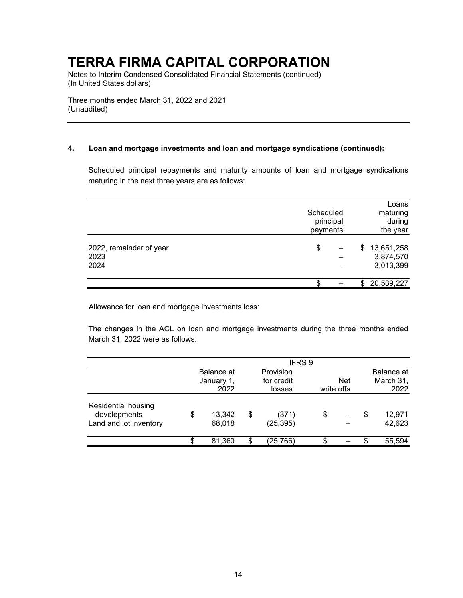Notes to Interim Condensed Consolidated Financial Statements (continued) (In United States dollars)

Three months ended March 31, 2022 and 2021 (Unaudited)

### **4. Loan and mortgage investments and loan and mortgage syndications (continued):**

Scheduled principal repayments and maturity amounts of loan and mortgage syndications maturing in the next three years are as follows:

|                                         | Scheduled<br>principal<br>payments | Loans<br>maturing<br>during<br>the year    |
|-----------------------------------------|------------------------------------|--------------------------------------------|
| 2022, remainder of year<br>2023<br>2024 | \$                                 | \$<br>13,651,258<br>3,874,570<br>3,013,399 |
|                                         | S                                  | 20,539,227                                 |

Allowance for loan and mortgage investments loss:

The changes in the ACL on loan and mortgage investments during the three months ended March 31, 2022 were as follows:

|                                                               |                        | IFRS <sub>9</sub>        |            |            |                        |
|---------------------------------------------------------------|------------------------|--------------------------|------------|------------|------------------------|
|                                                               | Balance at             | Provision                |            |            | Balance at             |
|                                                               | January 1,             | for credit               |            | <b>Net</b> | March 31,              |
|                                                               | 2022                   | losses                   | write offs |            | 2022                   |
| Residential housing<br>developments<br>Land and lot inventory | \$<br>13,342<br>68,018 | \$<br>(371)<br>(25, 395) | \$         |            | \$<br>12,971<br>42,623 |
|                                                               | \$<br>81,360           | \$<br>(25, 766)          |            |            | 55,594                 |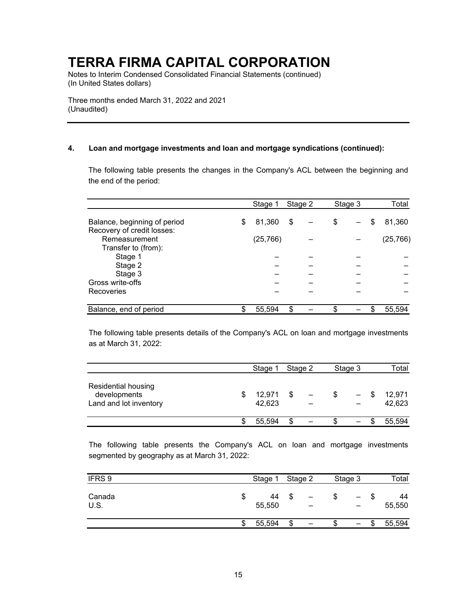Notes to Interim Condensed Consolidated Financial Statements (continued) (In United States dollars)

Three months ended March 31, 2022 and 2021 (Unaudited)

### **4. Loan and mortgage investments and loan and mortgage syndications (continued):**

The following table presents the changes in the Company's ACL between the beginning and the end of the period:

|                                                            | Stage 1      | Stage 2 | Stage 3 | Total        |
|------------------------------------------------------------|--------------|---------|---------|--------------|
| Balance, beginning of period<br>Recovery of credit losses: | \$<br>81,360 | \$      | \$      | \$<br>81,360 |
| Remeasurement                                              | (25, 766)    |         |         | (25, 766)    |
| Transfer to (from):                                        |              |         |         |              |
| Stage 1<br>Stage 2                                         |              |         |         |              |
| Stage 3                                                    |              |         |         |              |
| Gross write-offs                                           |              |         |         |              |
| Recoveries                                                 |              |         |         |              |
| Balance, end of period                                     | 55,594       | \$      |         | 55,594       |

The following table presents details of the Company's ACL on loan and mortgage investments as at March 31, 2022:

|                                                               | Stage 1          | Stage 2 |  | Stage 3           |      | Total            |
|---------------------------------------------------------------|------------------|---------|--|-------------------|------|------------------|
| Residential housing<br>developments<br>Land and lot inventory | 12,971<br>42,623 |         |  | $\qquad \qquad -$ | - \$ | 12,971<br>42,623 |
|                                                               | 55.594           |         |  |                   |      | 55,594           |

The following table presents the Company's ACL on loan and mortgage investments segmented by geography as at March 31, 2022:

| IFRS 9              | Stage 1      | Stage 2 | Stage 3 |   | Total        |
|---------------------|--------------|---------|---------|---|--------------|
| Canada<br>Φ<br>U.S. | 44<br>55,550 |         |         |   | 44<br>55,550 |
| S                   | 55,594       | –       |         | S | 55,594       |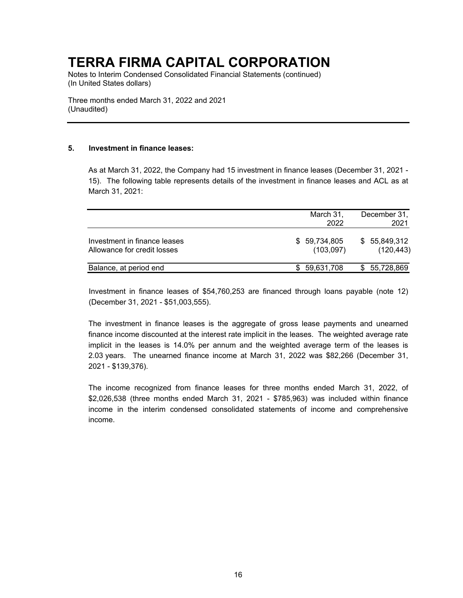Notes to Interim Condensed Consolidated Financial Statements (continued) (In United States dollars)

Three months ended March 31, 2022 and 2021 (Unaudited)

### **5. Investment in finance leases:**

As at March 31, 2022, the Company had 15 investment in finance leases (December 31, 2021 - 15). The following table represents details of the investment in finance leases and ACL as at March 31, 2021:

|                                                             | March 31,<br>2022          | December 31,<br>2021        |
|-------------------------------------------------------------|----------------------------|-----------------------------|
| Investment in finance leases<br>Allowance for credit losses | \$ 59,734,805<br>(103,097) | \$ 55,849,312<br>(120, 443) |
| Balance, at period end                                      | 59,631,708<br>SS.          | \$5,728,869                 |

Investment in finance leases of \$54,760,253 are financed through loans payable (note 12) (December 31, 2021 - \$51,003,555).

The investment in finance leases is the aggregate of gross lease payments and unearned finance income discounted at the interest rate implicit in the leases. The weighted average rate implicit in the leases is 14.0% per annum and the weighted average term of the leases is 2.03 years. The unearned finance income at March 31, 2022 was \$82,266 (December 31, 2021 - \$139,376).

The income recognized from finance leases for three months ended March 31, 2022, of \$2,026,538 (three months ended March 31, 2021 - \$785,963) was included within finance income in the interim condensed consolidated statements of income and comprehensive income.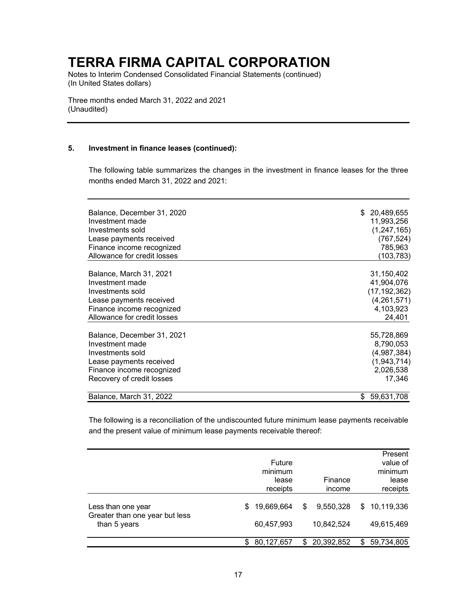Notes to Interim Condensed Consolidated Financial Statements (continued) (In United States dollars)

Three months ended March 31, 2022 and 2021 (Unaudited)

#### **5. Investment in finance leases (continued):**

The following table summarizes the changes in the investment in finance leases for the three months ended March 31, 2022 and 2021:

| Balance, December 31, 2020                               | 20,489,655<br>S.    |
|----------------------------------------------------------|---------------------|
| Investment made                                          | 11,993,256          |
| Investments sold                                         | (1, 247, 165)       |
| Lease payments received                                  | (767, 524)          |
| Finance income recognized                                | 785,963             |
| Allowance for credit losses                              | (103,783)           |
| Balance, March 31, 2021                                  | 31,150,402          |
| Investment made                                          | 41,904,076          |
| Investments sold                                         | (17, 192, 362)      |
|                                                          | (4,261,571)         |
| Lease payments received                                  |                     |
| Finance income recognized<br>Allowance for credit losses | 4,103,923<br>24,401 |
|                                                          |                     |
| Balance, December 31, 2021                               | 55,728,869          |
| Investment made                                          | 8,790,053           |
| Investments sold                                         | (4,987,384)         |
| Lease payments received                                  | (1, 943, 714)       |
| Finance income recognized                                | 2,026,538           |
| Recovery of credit losses                                | 17,346              |
| Balance, March 31, 2022                                  | 59,631,708<br>S     |

The following is a reconciliation of the undiscounted future minimum lease payments receivable and the present value of minimum lease payments receivable thereof:

|                                                                      |    | Future<br>minimum<br>lease<br>receipts | Finance<br>income             |     | Present<br>value of<br>minimum<br>lease<br>receipts |
|----------------------------------------------------------------------|----|----------------------------------------|-------------------------------|-----|-----------------------------------------------------|
| Less than one year<br>Greater than one year but less<br>than 5 years | S. | 19,669,664<br>60,457,993               | \$<br>9,550,328<br>10,842,524 |     | \$10,119,336<br>49,615,469                          |
|                                                                      | \$ | 80,127,657                             | \$<br>20,392,852              | \$. | 59,734,805                                          |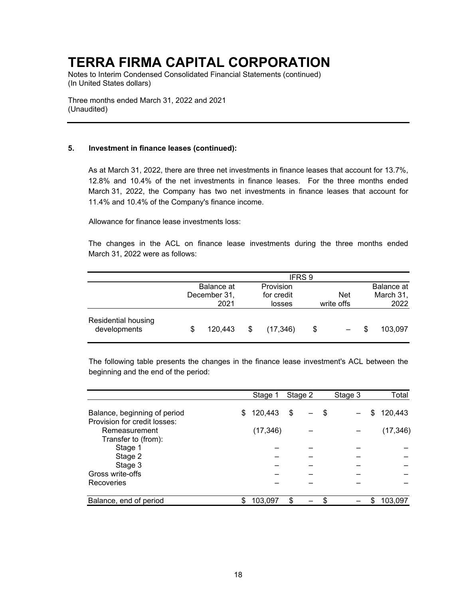Notes to Interim Condensed Consolidated Financial Statements (continued) (In United States dollars)

Three months ended March 31, 2022 and 2021 (Unaudited)

### **5. Investment in finance leases (continued):**

As at March 31, 2022, there are three net investments in finance leases that account for 13.7%, 12.8% and 10.4% of the net investments in finance leases. For the three months ended March 31, 2022, the Company has two net investments in finance leases that account for 11.4% and 10.4% of the Company's finance income.

Allowance for finance lease investments loss:

The changes in the ACL on finance lease investments during the three months ended March 31, 2022 were as follows:

|                                     |                                    |                                   | IFRS 9 |                          |                                 |
|-------------------------------------|------------------------------------|-----------------------------------|--------|--------------------------|---------------------------------|
|                                     | Balance at<br>December 31,<br>2021 | Provision<br>for credit<br>losses |        | <b>Net</b><br>write offs | Balance at<br>March 31,<br>2022 |
| Residential housing<br>developments | 120,443                            | \$<br>(17, 346)                   | \$     |                          | 103.097                         |

The following table presents the changes in the finance lease investment's ACL between the beginning and the end of the period:

|                                                              |   | Stage 1   | Stage 2 | Stage 3 | Total         |
|--------------------------------------------------------------|---|-----------|---------|---------|---------------|
| Balance, beginning of period<br>Provision for credit losses: | S | 120,443   | \$      | \$      | \$<br>120,443 |
| Remeasurement<br>Transfer to (from):                         |   | (17, 346) |         |         | (17, 346)     |
| Stage 1                                                      |   |           |         |         |               |
| Stage 2                                                      |   |           |         |         |               |
| Stage 3                                                      |   |           |         |         |               |
| Gross write-offs                                             |   |           |         |         |               |
| Recoveries                                                   |   |           |         |         |               |
|                                                              |   |           |         |         |               |
| Balance, end of period                                       |   | 103,097   | \$      |         | 103,097       |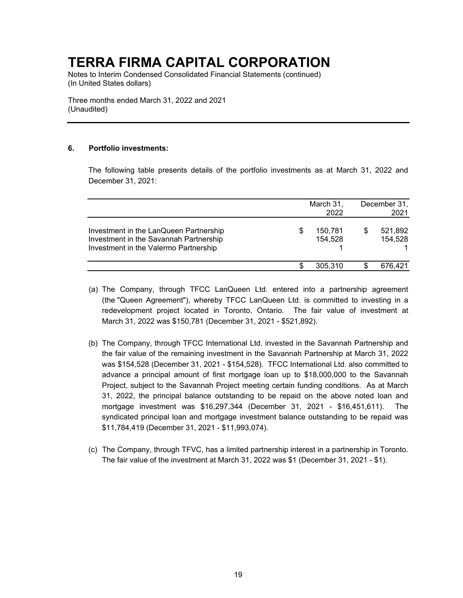Notes to Interim Condensed Consolidated Financial Statements (continued) (In United States dollars)

Three months ended March 31, 2022 and 2021 (Unaudited)

### **6. Portfolio investments:**

The following table presents details of the portfolio investments as at March 31, 2022 and December 31, 2021:

|                                                                                                                           |   | March 31,<br>2022  | December 31,<br>2021 |                    |  |
|---------------------------------------------------------------------------------------------------------------------------|---|--------------------|----------------------|--------------------|--|
| Investment in the LanQueen Partnership<br>Investment in the Savannah Partnership<br>Investment in the Valermo Partnership | S | 150.781<br>154,528 | S                    | 521,892<br>154,528 |  |
|                                                                                                                           |   | 305.310            |                      | 676,421            |  |

- (a) The Company, through TFCC LanQueen Ltd. entered into a partnership agreement (the "Queen Agreement"), whereby TFCC LanQueen Ltd. is committed to investing in a redevelopment project located in Toronto, Ontario. The fair value of investment at March 31, 2022 was \$150,781 (December 31, 2021 - \$521,892).
- (b) The Company, through TFCC International Ltd. invested in the Savannah Partnership and the fair value of the remaining investment in the Savannah Partnership at March 31, 2022 was \$154,528 (December 31, 2021 - \$154,528). TFCC International Ltd. also committed to advance a principal amount of first mortgage loan up to \$18,000,000 to the Savannah Project, subject to the Savannah Project meeting certain funding conditions. As at March 31, 2022, the principal balance outstanding to be repaid on the above noted loan and mortgage investment was \$16,297,344 (December 31, 2021 - \$16,451,611). The syndicated principal loan and mortgage investment balance outstanding to be repaid was \$11,784,419 (December 31, 2021 - \$11,993,074).
- (c) The Company, through TFVC, has a limited partnership interest in a partnership in Toronto. The fair value of the investment at March 31, 2022 was \$1 (December 31, 2021 - \$1).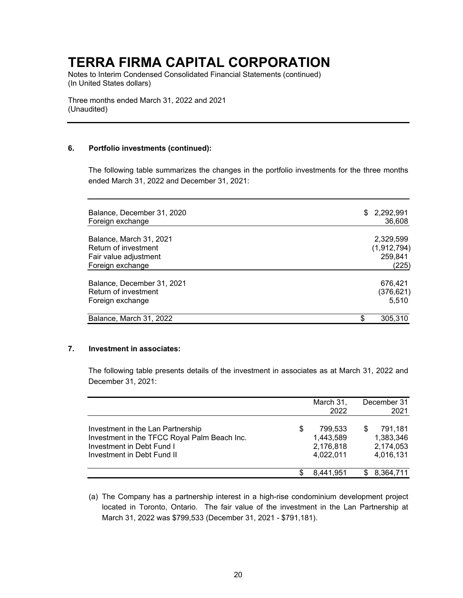Notes to Interim Condensed Consolidated Financial Statements (continued) (In United States dollars)

Three months ended March 31, 2022 and 2021 (Unaudited)

### **6. Portfolio investments (continued):**

The following table summarizes the changes in the portfolio investments for the three months ended March 31, 2022 and December 31, 2021:

| Balance, December 31, 2020<br>Foreign exchange | 2,292,991<br>\$.<br>36,608 |
|------------------------------------------------|----------------------------|
| Balance, March 31, 2021                        | 2,329,599                  |
| Return of investment                           | (1,912,794)                |
| Fair value adjustment                          | 259,841                    |
| Foreign exchange                               | (225)                      |
| Balance, December 31, 2021                     | 676,421                    |
| Return of investment                           | (376, 621)                 |
| Foreign exchange                               | 5,510                      |
| Balance, March 31, 2022                        | 305,310                    |

### **7. Investment in associates:**

The following table presents details of the investment in associates as at March 31, 2022 and December 31, 2021:

|                                                                                                                                              |   | March 31,<br>2022                              | December 31<br>2021                            |
|----------------------------------------------------------------------------------------------------------------------------------------------|---|------------------------------------------------|------------------------------------------------|
| Investment in the Lan Partnership<br>Investment in the TFCC Royal Palm Beach Inc.<br>Investment in Debt Fund I<br>Investment in Debt Fund II | S | 799.533<br>1,443,589<br>2,176,818<br>4,022,011 | 791.181<br>1,383,346<br>2,174,053<br>4,016,131 |
|                                                                                                                                              |   | 8.441.951                                      | 8.364.711                                      |

(a) The Company has a partnership interest in a high-rise condominium development project located in Toronto, Ontario. The fair value of the investment in the Lan Partnership at March 31, 2022 was \$799,533 (December 31, 2021 - \$791,181).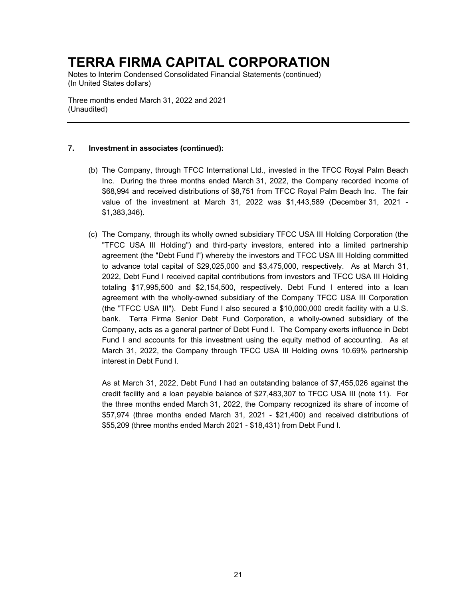Notes to Interim Condensed Consolidated Financial Statements (continued) (In United States dollars)

Three months ended March 31, 2022 and 2021 (Unaudited)

### **7. Investment in associates (continued):**

- (b) The Company, through TFCC International Ltd., invested in the TFCC Royal Palm Beach Inc. During the three months ended March 31, 2022, the Company recorded income of \$68,994 and received distributions of \$8,751 from TFCC Royal Palm Beach Inc. The fair value of the investment at March 31, 2022 was \$1,443,589 (December 31, 2021 - \$1,383,346).
- (c) The Company, through its wholly owned subsidiary TFCC USA III Holding Corporation (the "TFCC USA III Holding") and third-party investors, entered into a limited partnership agreement (the "Debt Fund I") whereby the investors and TFCC USA III Holding committed to advance total capital of \$29,025,000 and \$3,475,000, respectively. As at March 31, 2022, Debt Fund I received capital contributions from investors and TFCC USA III Holding totaling \$17,995,500 and \$2,154,500, respectively. Debt Fund I entered into a loan agreement with the wholly-owned subsidiary of the Company TFCC USA III Corporation (the "TFCC USA III"). Debt Fund I also secured a \$10,000,000 credit facility with a U.S. bank. Terra Firma Senior Debt Fund Corporation, a wholly-owned subsidiary of the Company, acts as a general partner of Debt Fund I. The Company exerts influence in Debt Fund I and accounts for this investment using the equity method of accounting. As at March 31, 2022, the Company through TFCC USA III Holding owns 10.69% partnership interest in Debt Fund I.

As at March 31, 2022, Debt Fund I had an outstanding balance of \$7,455,026 against the credit facility and a loan payable balance of \$27,483,307 to TFCC USA III (note 11). For the three months ended March 31, 2022, the Company recognized its share of income of \$57,974 (three months ended March 31, 2021 - \$21,400) and received distributions of \$55,209 (three months ended March 2021 - \$18,431) from Debt Fund I.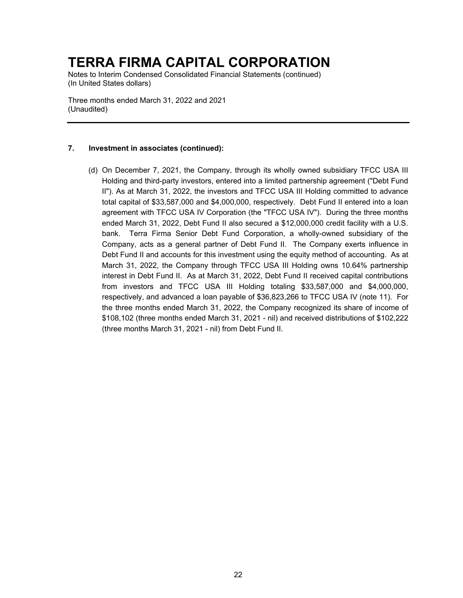Notes to Interim Condensed Consolidated Financial Statements (continued) (In United States dollars)

Three months ended March 31, 2022 and 2021 (Unaudited)

### **7. Investment in associates (continued):**

(d) On December 7, 2021, the Company, through its wholly owned subsidiary TFCC USA III Holding and third-party investors, entered into a limited partnership agreement ("Debt Fund II"). As at March 31, 2022, the investors and TFCC USA III Holding committed to advance total capital of \$33,587,000 and \$4,000,000, respectively. Debt Fund II entered into a loan agreement with TFCC USA IV Corporation (the "TFCC USA IV"). During the three months ended March 31, 2022, Debt Fund II also secured a \$12,000,000 credit facility with a U.S. bank. Terra Firma Senior Debt Fund Corporation, a wholly-owned subsidiary of the Company, acts as a general partner of Debt Fund II. The Company exerts influence in Debt Fund II and accounts for this investment using the equity method of accounting. As at March 31, 2022, the Company through TFCC USA III Holding owns 10.64% partnership interest in Debt Fund II. As at March 31, 2022, Debt Fund II received capital contributions from investors and TFCC USA III Holding totaling \$33,587,000 and \$4,000,000, respectively, and advanced a loan payable of \$36,823,266 to TFCC USA IV (note 11). For the three months ended March 31, 2022, the Company recognized its share of income of \$108,102 (three months ended March 31, 2021 - nil) and received distributions of \$102,222 (three months March 31, 2021 - nil) from Debt Fund II.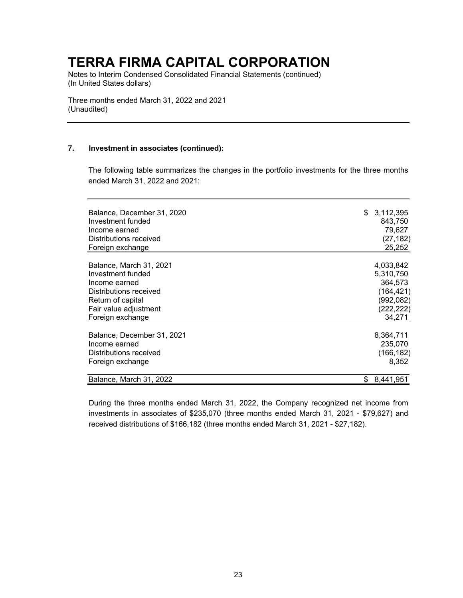Notes to Interim Condensed Consolidated Financial Statements (continued) (In United States dollars)

Three months ended March 31, 2022 and 2021 (Unaudited)

### **7. Investment in associates (continued):**

The following table summarizes the changes in the portfolio investments for the three months ended March 31, 2022 and 2021:

| Balance, December 31, 2020 | \$<br>3,112,395  |
|----------------------------|------------------|
| Investment funded          | 843,750          |
| Income earned              | 79,627           |
| Distributions received     | (27, 182)        |
| Foreign exchange           | 25,252           |
|                            |                  |
| Balance, March 31, 2021    | 4,033,842        |
| Investment funded          | 5,310,750        |
| Income earned              | 364,573          |
| Distributions received     | (164, 421)       |
| Return of capital          | (992, 082)       |
| Fair value adjustment      | (222, 222)       |
| Foreign exchange           | 34,271           |
| Balance, December 31, 2021 | 8,364,711        |
| Income earned              | 235,070          |
| Distributions received     | (166, 182)       |
| Foreign exchange           | 8,352            |
| Balance, March 31, 2022    | 8,441,951<br>\$. |

During the three months ended March 31, 2022, the Company recognized net income from investments in associates of \$235,070 (three months ended March 31, 2021 - \$79,627) and received distributions of \$166,182 (three months ended March 31, 2021 - \$27,182).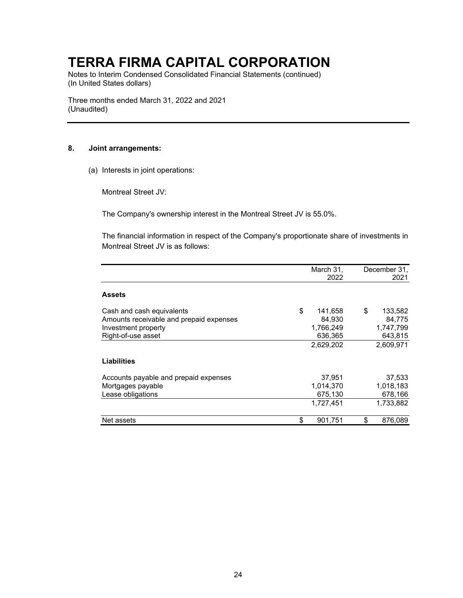Notes to Interim Condensed Consolidated Financial Statements (continued) (In United States dollars)

Three months ended March 31, 2022 and 2021 (Unaudited)

### **8. Joint arrangements:**

(a) Interests in joint operations:

Montreal Street JV:

The Company's ownership interest in the Montreal Street JV is 55.0%.

The financial information in respect of the Company's proportionate share of investments in Montreal Street JV is as follows:

|                                         | March 31,<br>2022 | December 31,<br>2021 |
|-----------------------------------------|-------------------|----------------------|
| <b>Assets</b>                           |                   |                      |
|                                         |                   |                      |
| Cash and cash equivalents               | \$<br>141,658     | \$<br>133,582        |
| Amounts receivable and prepaid expenses | 84,930            | 84,775               |
| Investment property                     | 1,766,249         | 1,747,799            |
| Right-of-use asset                      | 636,365           | 643,815              |
|                                         | 2,629,202         | 2,609,971            |
| Liabilities                             |                   |                      |
| Accounts payable and prepaid expenses   | 37,951            | 37,533               |
| Mortgages payable                       | 1,014,370         | 1,018,183            |
| Lease obligations                       | 675,130           | 678,166              |
|                                         | 1,727,451         | 1,733,882            |
| Net assets                              | \$<br>901,751     | \$<br>876.089        |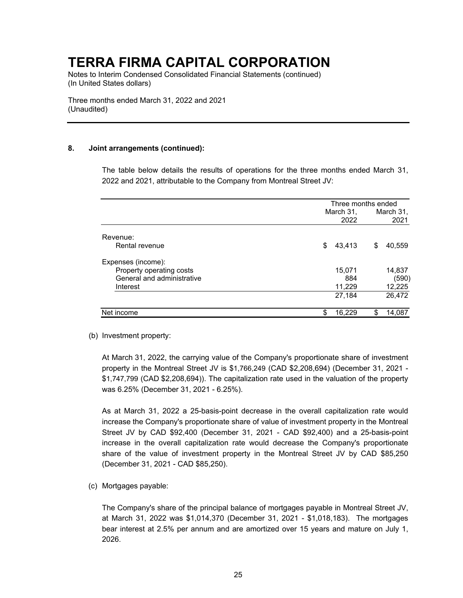Notes to Interim Condensed Consolidated Financial Statements (continued) (In United States dollars)

Three months ended March 31, 2022 and 2021 (Unaudited)

### **8. Joint arrangements (continued):**

The table below details the results of operations for the three months ended March 31, 2022 and 2021, attributable to the Company from Montreal Street JV:

|                            | Three months ended |    |           |  |
|----------------------------|--------------------|----|-----------|--|
|                            | March 31,          |    | March 31, |  |
|                            | 2022               |    | 2021      |  |
| Revenue:                   |                    |    |           |  |
| Rental revenue             | \$<br>43,413       | \$ | 40,559    |  |
| Expenses (income):         |                    |    |           |  |
| Property operating costs   | 15,071             |    | 14,837    |  |
| General and administrative | 884                |    | (590)     |  |
| Interest                   | 11,229             |    | 12,225    |  |
|                            | 27,184             |    | 26,472    |  |
| Net income                 | \$<br>16,229       | \$ | 14.087    |  |

(b) Investment property:

At March 31, 2022, the carrying value of the Company's proportionate share of investment property in the Montreal Street JV is \$1,766,249 (CAD \$2,208,694) (December 31, 2021 - \$1,747,799 (CAD \$2,208,694)). The capitalization rate used in the valuation of the property was 6.25% (December 31, 2021 - 6.25%).

As at March 31, 2022 a 25-basis-point decrease in the overall capitalization rate would increase the Company's proportionate share of value of investment property in the Montreal Street JV by CAD \$92,400 (December 31, 2021 - CAD \$92,400) and a 25-basis-point increase in the overall capitalization rate would decrease the Company's proportionate share of the value of investment property in the Montreal Street JV by CAD \$85,250 (December 31, 2021 - CAD \$85,250).

(c) Mortgages payable:

The Company's share of the principal balance of mortgages payable in Montreal Street JV, at March 31, 2022 was \$1,014,370 (December 31, 2021 - \$1,018,183). The mortgages bear interest at 2.5% per annum and are amortized over 15 years and mature on July 1, 2026.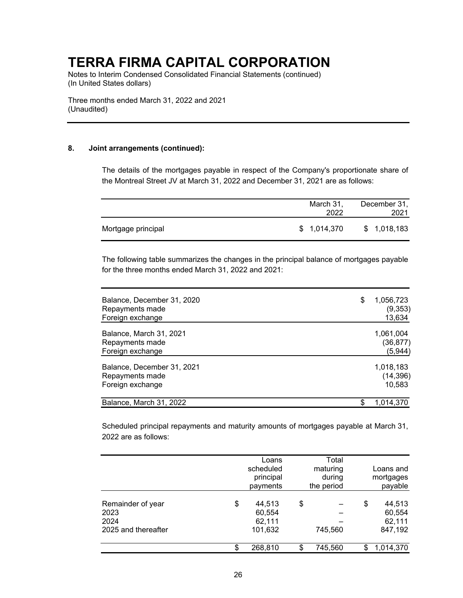Notes to Interim Condensed Consolidated Financial Statements (continued) (In United States dollars)

Three months ended March 31, 2022 and 2021 (Unaudited)

### **8. Joint arrangements (continued):**

The details of the mortgages payable in respect of the Company's proportionate share of the Montreal Street JV at March 31, 2022 and December 31, 2021 are as follows:

|                    | March 31,<br>2022 | December 31,<br>2021 |
|--------------------|-------------------|----------------------|
| Mortgage principal | \$1,014,370       | \$1,018,183          |

The following table summarizes the changes in the principal balance of mortgages payable for the three months ended March 31, 2022 and 2021:

| Balance, December 31, 2020<br>Repayments made<br>Foreign exchange | 1,056,723<br>\$<br>(9,353)<br>13,634 |
|-------------------------------------------------------------------|--------------------------------------|
| Balance, March 31, 2021                                           | 1,061,004                            |
| Repayments made                                                   | (36, 877)                            |
| Foreign exchange                                                  | (5, 944)                             |
| Balance, December 31, 2021                                        | 1,018,183                            |
| Repayments made                                                   | (14, 396)                            |
| Foreign exchange                                                  | 10,583                               |
| Balance, March 31, 2022                                           | \$<br>1.014.370                      |

Scheduled principal repayments and maturity amounts of mortgages payable at March 31, 2022 are as follows:

|                                                          |     | Loans<br>scheduled<br>principal<br>payments | Total<br>maturing<br>during<br>the period | Loans and<br>mortgages<br>payable           |
|----------------------------------------------------------|-----|---------------------------------------------|-------------------------------------------|---------------------------------------------|
| Remainder of year<br>2023<br>2024<br>2025 and thereafter | \$  | 44,513<br>60,554<br>62,111<br>101,632       | \$<br>745,560                             | \$<br>44,513<br>60,554<br>62,111<br>847,192 |
|                                                          | \$. | 268,810                                     | \$<br>745,560                             | 1,014,370                                   |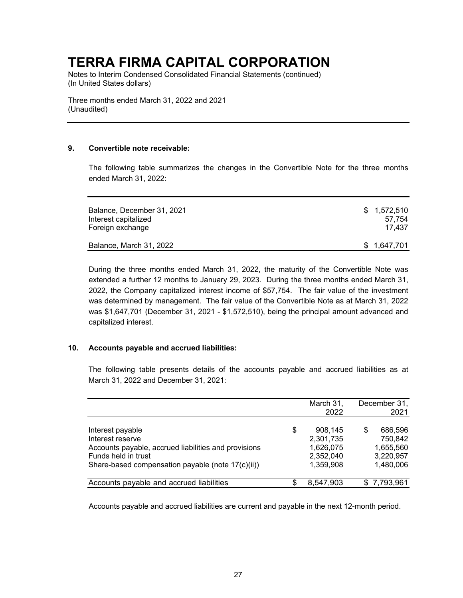Notes to Interim Condensed Consolidated Financial Statements (continued) (In United States dollars)

Three months ended March 31, 2022 and 2021 (Unaudited)

### **9. Convertible note receivable:**

The following table summarizes the changes in the Convertible Note for the three months ended March 31, 2022:

| Balance, December 31, 2021 | \$1.572.510 |  |  |  |
|----------------------------|-------------|--|--|--|
| Interest capitalized       | 57.754      |  |  |  |
| Foreign exchange           | 17.437      |  |  |  |
| Balance, March 31, 2022    | \$1,647,701 |  |  |  |

During the three months ended March 31, 2022, the maturity of the Convertible Note was extended a further 12 months to January 29, 2023. During the three months ended March 31, 2022, the Company capitalized interest income of \$57,754. The fair value of the investment was determined by management. The fair value of the Convertible Note as at March 31, 2022 was \$1,647,701 (December 31, 2021 - \$1,572,510), being the principal amount advanced and capitalized interest.

### **10. Accounts payable and accrued liabilities:**

The following table presents details of the accounts payable and accrued liabilities as at March 31, 2022 and December 31, 2021:

|                                                                             |    | March 31,<br>2022      | December 31,<br>2021    |
|-----------------------------------------------------------------------------|----|------------------------|-------------------------|
| Interest payable<br>Interest reserve                                        | \$ | 908,145<br>2,301,735   | 686,596<br>S<br>750,842 |
| Accounts payable, accrued liabilities and provisions<br>Funds held in trust |    | 1,626,075<br>2,352,040 | 1,655,560<br>3,220,957  |
| Share-based compensation payable (note 17(c)(ii))                           |    | 1,359,908              | 1,480,006               |
| Accounts payable and accrued liabilities                                    | S  | 8,547,903              | \$7,793,961             |

Accounts payable and accrued liabilities are current and payable in the next 12-month period.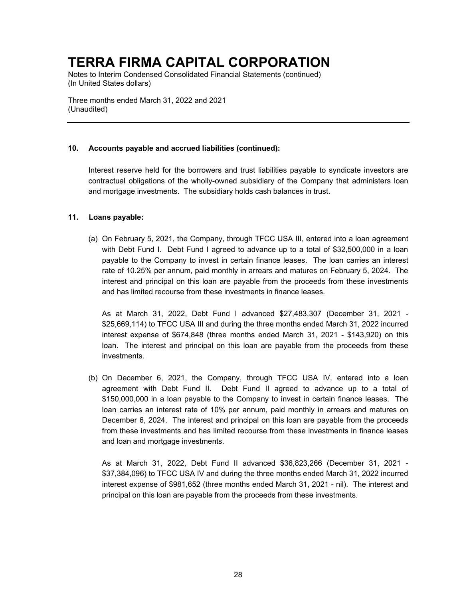Notes to Interim Condensed Consolidated Financial Statements (continued) (In United States dollars)

Three months ended March 31, 2022 and 2021 (Unaudited)

### **10. Accounts payable and accrued liabilities (continued):**

Interest reserve held for the borrowers and trust liabilities payable to syndicate investors are contractual obligations of the wholly-owned subsidiary of the Company that administers loan and mortgage investments. The subsidiary holds cash balances in trust.

### **11. Loans payable:**

(a) On February 5, 2021, the Company, through TFCC USA III, entered into a loan agreement with Debt Fund I. Debt Fund I agreed to advance up to a total of \$32,500,000 in a loan payable to the Company to invest in certain finance leases. The loan carries an interest rate of 10.25% per annum, paid monthly in arrears and matures on February 5, 2024. The interest and principal on this loan are payable from the proceeds from these investments and has limited recourse from these investments in finance leases.

As at March 31, 2022, Debt Fund I advanced \$27,483,307 (December 31, 2021 - \$25,669,114) to TFCC USA III and during the three months ended March 31, 2022 incurred interest expense of \$674,848 (three months ended March 31, 2021 - \$143,920) on this loan. The interest and principal on this loan are payable from the proceeds from these investments.

(b) On December 6, 2021, the Company, through TFCC USA IV, entered into a loan agreement with Debt Fund II. Debt Fund II agreed to advance up to a total of \$150,000,000 in a loan payable to the Company to invest in certain finance leases. The loan carries an interest rate of 10% per annum, paid monthly in arrears and matures on December 6, 2024. The interest and principal on this loan are payable from the proceeds from these investments and has limited recourse from these investments in finance leases and loan and mortgage investments.

As at March 31, 2022, Debt Fund II advanced \$36,823,266 (December 31, 2021 - \$37,384,096) to TFCC USA IV and during the three months ended March 31, 2022 incurred interest expense of \$981,652 (three months ended March 31, 2021 - nil). The interest and principal on this loan are payable from the proceeds from these investments.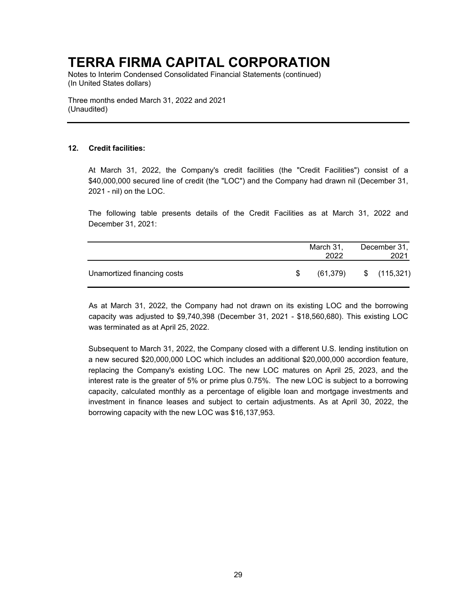Notes to Interim Condensed Consolidated Financial Statements (continued) (In United States dollars)

Three months ended March 31, 2022 and 2021 (Unaudited)

### **12. Credit facilities:**

At March 31, 2022, the Company's credit facilities (the "Credit Facilities") consist of a \$40,000,000 secured line of credit (the "LOC") and the Company had drawn nil (December 31, 2021 - nil) on the LOC.

The following table presents details of the Credit Facilities as at March 31, 2022 and December 31, 2021:

|                             |    | March 31,<br>2022 | December 31,<br>2021 |
|-----------------------------|----|-------------------|----------------------|
| Unamortized financing costs | ß. | (61,379)          | \$(115,321)          |

As at March 31, 2022, the Company had not drawn on its existing LOC and the borrowing capacity was adjusted to \$9,740,398 (December 31, 2021 - \$18,560,680). This existing LOC was terminated as at April 25, 2022.

Subsequent to March 31, 2022, the Company closed with a different U.S. lending institution on a new secured \$20,000,000 LOC which includes an additional \$20,000,000 accordion feature, replacing the Company's existing LOC. The new LOC matures on April 25, 2023, and the interest rate is the greater of 5% or prime plus 0.75%. The new LOC is subject to a borrowing capacity, calculated monthly as a percentage of eligible loan and mortgage investments and investment in finance leases and subject to certain adjustments. As at April 30, 2022, the borrowing capacity with the new LOC was \$16,137,953.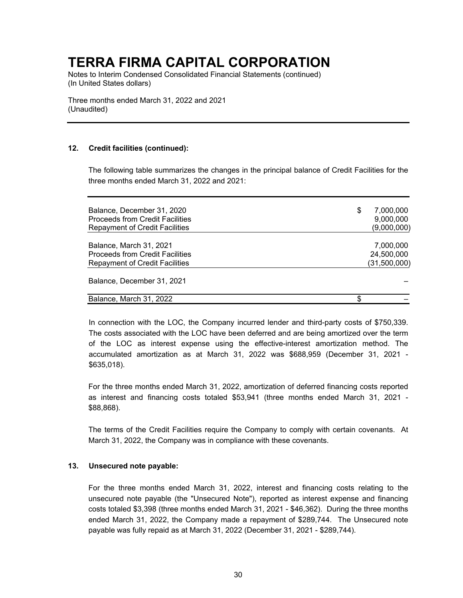Notes to Interim Condensed Consolidated Financial Statements (continued) (In United States dollars)

Three months ended March 31, 2022 and 2021 (Unaudited)

### **12. Credit facilities (continued):**

The following table summarizes the changes in the principal balance of Credit Facilities for the three months ended March 31, 2022 and 2021:

| Balance, December 31, 2020             | \$<br>7,000,000 |
|----------------------------------------|-----------------|
| <b>Proceeds from Credit Facilities</b> | 9,000,000       |
| <b>Repayment of Credit Facilities</b>  | (9,000,000)     |
|                                        |                 |
| Balance, March 31, 2021                | 7,000,000       |
| <b>Proceeds from Credit Facilities</b> | 24,500,000      |
| <b>Repayment of Credit Facilities</b>  | (31,500,000)    |
| Balance, December 31, 2021             |                 |
| Balance, March 31, 2022                | S               |

In connection with the LOC, the Company incurred lender and third-party costs of \$750,339. The costs associated with the LOC have been deferred and are being amortized over the term of the LOC as interest expense using the effective-interest amortization method. The accumulated amortization as at March 31, 2022 was \$688,959 (December 31, 2021 - \$635,018).

For the three months ended March 31, 2022, amortization of deferred financing costs reported as interest and financing costs totaled \$53,941 (three months ended March 31, 2021 - \$88,868).

The terms of the Credit Facilities require the Company to comply with certain covenants. At March 31, 2022, the Company was in compliance with these covenants.

### **13. Unsecured note payable:**

For the three months ended March 31, 2022, interest and financing costs relating to the unsecured note payable (the "Unsecured Note"), reported as interest expense and financing costs totaled \$3,398 (three months ended March 31, 2021 - \$46,362). During the three months ended March 31, 2022, the Company made a repayment of \$289,744. The Unsecured note payable was fully repaid as at March 31, 2022 (December 31, 2021 - \$289,744).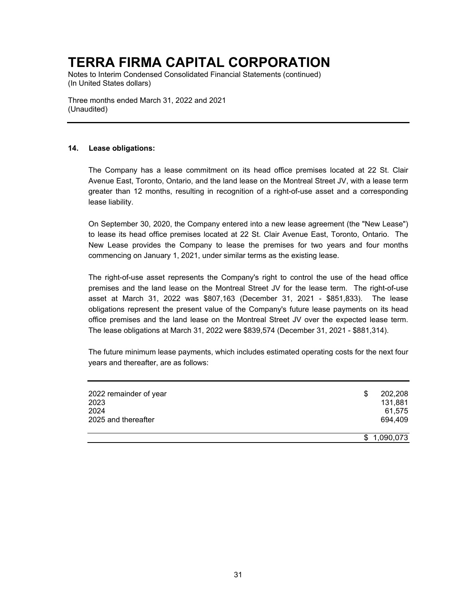Notes to Interim Condensed Consolidated Financial Statements (continued) (In United States dollars)

Three months ended March 31, 2022 and 2021 (Unaudited)

### **14. Lease obligations:**

The Company has a lease commitment on its head office premises located at 22 St. Clair Avenue East, Toronto, Ontario, and the land lease on the Montreal Street JV, with a lease term greater than 12 months, resulting in recognition of a right-of-use asset and a corresponding lease liability.

On September 30, 2020, the Company entered into a new lease agreement (the "New Lease") to lease its head office premises located at 22 St. Clair Avenue East, Toronto, Ontario. The New Lease provides the Company to lease the premises for two years and four months commencing on January 1, 2021, under similar terms as the existing lease.

The right-of-use asset represents the Company's right to control the use of the head office premises and the land lease on the Montreal Street JV for the lease term. The right-of-use asset at March 31, 2022 was \$807,163 (December 31, 2021 - \$851,833). The lease obligations represent the present value of the Company's future lease payments on its head office premises and the land lease on the Montreal Street JV over the expected lease term. The lease obligations at March 31, 2022 were \$839,574 (December 31, 2021 - \$881,314).

The future minimum lease payments, which includes estimated operating costs for the next four years and thereafter, are as follows:

| 2022 remainder of year | 202,208<br>\$ |
|------------------------|---------------|
| 2023                   | 131,881       |
| 2024                   | 61,575        |
| 2025 and thereafter    | 694,409       |
|                        |               |
|                        | \$1,090,073   |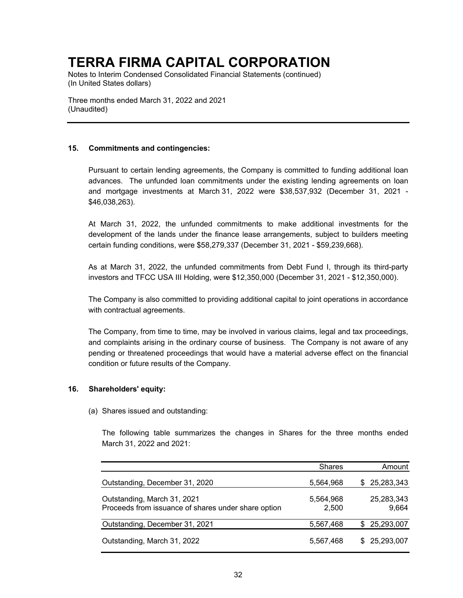Notes to Interim Condensed Consolidated Financial Statements (continued) (In United States dollars)

Three months ended March 31, 2022 and 2021 (Unaudited)

### **15. Commitments and contingencies:**

Pursuant to certain lending agreements, the Company is committed to funding additional loan advances. The unfunded loan commitments under the existing lending agreements on loan and mortgage investments at March 31, 2022 were \$38,537,932 (December 31, 2021 - \$46,038,263).

At March 31, 2022, the unfunded commitments to make additional investments for the development of the lands under the finance lease arrangements, subject to builders meeting certain funding conditions, were \$58,279,337 (December 31, 2021 - \$59,239,668).

As at March 31, 2022, the unfunded commitments from Debt Fund I, through its third-party investors and TFCC USA III Holding, were \$12,350,000 (December 31, 2021 - \$12,350,000).

The Company is also committed to providing additional capital to joint operations in accordance with contractual agreements.

The Company, from time to time, may be involved in various claims, legal and tax proceedings, and complaints arising in the ordinary course of business. The Company is not aware of any pending or threatened proceedings that would have a material adverse effect on the financial condition or future results of the Company.

### **16. Shareholders' equity:**

(a) Shares issued and outstanding:

The following table summarizes the changes in Shares for the three months ended March 31, 2022 and 2021:

|                                                                                    | <b>Shares</b>      | Amount              |
|------------------------------------------------------------------------------------|--------------------|---------------------|
| Outstanding, December 31, 2020                                                     | 5,564,968          | \$25,283,343        |
| Outstanding, March 31, 2021<br>Proceeds from issuance of shares under share option | 5,564,968<br>2,500 | 25,283,343<br>9,664 |
| Outstanding, December 31, 2021                                                     | 5,567,468          | \$25,293,007        |
| Outstanding, March 31, 2022                                                        | 5,567,468          | \$ 25,293,007       |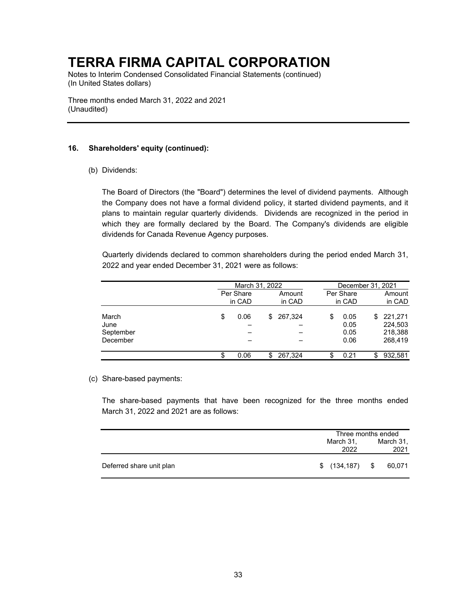Notes to Interim Condensed Consolidated Financial Statements (continued) (In United States dollars)

Three months ended March 31, 2022 and 2021 (Unaudited)

### **16. Shareholders' equity (continued):**

(b) Dividends:

The Board of Directors (the "Board") determines the level of dividend payments. Although the Company does not have a formal dividend policy, it started dividend payments, and it plans to maintain regular quarterly dividends. Dividends are recognized in the period in which they are formally declared by the Board. The Company's dividends are eligible dividends for Canada Revenue Agency purposes.

Quarterly dividends declared to common shareholders during the period ended March 31, 2022 and year ended December 31, 2021 were as follows:

|                                        |            | March 31, 2022 |                                    | December 31, 2021                               |
|----------------------------------------|------------|----------------|------------------------------------|-------------------------------------------------|
|                                        | Per Share  | Amount         | Per Share                          | Amount                                          |
|                                        | in CAD     | in CAD         | in CAD                             | in CAD                                          |
| March<br>June<br>September<br>December | 0.06<br>S  | 267,324<br>\$. | \$<br>0.05<br>0.05<br>0.05<br>0.06 | 221.271<br>\$.<br>224,503<br>218,388<br>268,419 |
|                                        | 0.06<br>\$ | 267.324<br>S.  | 0.21<br>\$                         | 932,581<br>\$                                   |

(c) Share-based payments:

The share-based payments that have been recognized for the three months ended March 31, 2022 and 2021 are as follows:

|                          | Three months ended |                   |  |                   |
|--------------------------|--------------------|-------------------|--|-------------------|
|                          |                    | March 31,<br>2022 |  | March 31,<br>2021 |
|                          |                    |                   |  |                   |
| Deferred share unit plan |                    | $$(134, 187)$ \$  |  | 60,071            |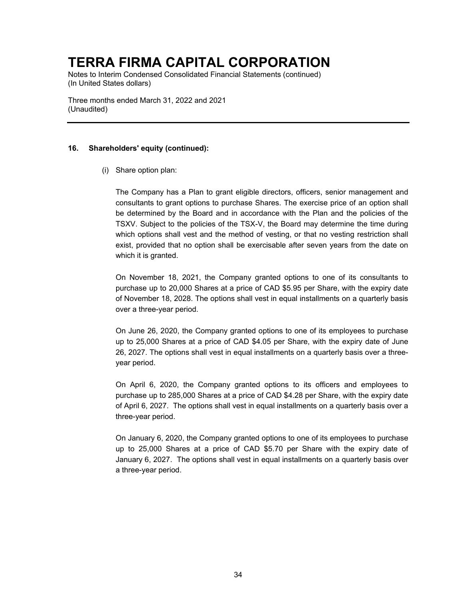Notes to Interim Condensed Consolidated Financial Statements (continued) (In United States dollars)

Three months ended March 31, 2022 and 2021 (Unaudited)

### **16. Shareholders' equity (continued):**

(i) Share option plan:

The Company has a Plan to grant eligible directors, officers, senior management and consultants to grant options to purchase Shares. The exercise price of an option shall be determined by the Board and in accordance with the Plan and the policies of the TSXV. Subject to the policies of the TSX-V, the Board may determine the time during which options shall vest and the method of vesting, or that no vesting restriction shall exist, provided that no option shall be exercisable after seven years from the date on which it is granted.

On November 18, 2021, the Company granted options to one of its consultants to purchase up to 20,000 Shares at a price of CAD \$5.95 per Share, with the expiry date of November 18, 2028. The options shall vest in equal installments on a quarterly basis over a three-year period.

On June 26, 2020, the Company granted options to one of its employees to purchase up to 25,000 Shares at a price of CAD \$4.05 per Share, with the expiry date of June 26, 2027. The options shall vest in equal installments on a quarterly basis over a threeyear period.

On April 6, 2020, the Company granted options to its officers and employees to purchase up to 285,000 Shares at a price of CAD \$4.28 per Share, with the expiry date of April 6, 2027. The options shall vest in equal installments on a quarterly basis over a three-year period.

On January 6, 2020, the Company granted options to one of its employees to purchase up to 25,000 Shares at a price of CAD \$5.70 per Share with the expiry date of January 6, 2027. The options shall vest in equal installments on a quarterly basis over a three-year period.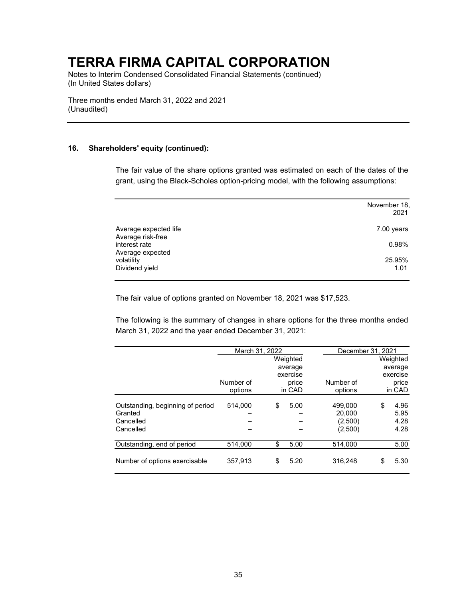Notes to Interim Condensed Consolidated Financial Statements (continued) (In United States dollars)

Three months ended March 31, 2022 and 2021 (Unaudited)

#### **16. Shareholders' equity (continued):**

The fair value of the share options granted was estimated on each of the dates of the grant, using the Black-Scholes option-pricing model, with the following assumptions:

|                                                             | November 18,<br>2021  |
|-------------------------------------------------------------|-----------------------|
| Average expected life<br>Average risk-free<br>interest rate | $7.00$ years<br>0.98% |
| Average expected<br>volatility<br>Dividend yield            | 25.95%<br>1.01        |

The fair value of options granted on November 18, 2021 was \$17,523.

The following is the summary of changes in share options for the three months ended March 31, 2022 and the year ended December 31, 2021:

|                                  |           | March 31, 2022 |          |           | December 31, 2021 |          |
|----------------------------------|-----------|----------------|----------|-----------|-------------------|----------|
|                                  |           |                | Weighted |           |                   | Weighted |
|                                  |           |                | average  |           |                   | average  |
|                                  |           |                | exercise |           |                   | exercise |
|                                  | Number of |                | price    | Number of |                   | price    |
|                                  | options   |                | in CAD   | options   |                   | in CAD   |
|                                  |           |                |          |           |                   |          |
| Outstanding, beginning of period | 514.000   | \$             | 5.00     | 499,000   | \$                | 4.96     |
| Granted                          |           |                |          | 20,000    |                   | 5.95     |
| Cancelled                        |           |                |          | (2,500)   |                   | 4.28     |
| Cancelled                        |           |                |          | (2,500)   |                   | 4.28     |
| Outstanding, end of period       | 514,000   | \$             | 5.00     | 514,000   |                   | 5.00     |
| Number of options exercisable    | 357.913   | \$             | 5.20     | 316.248   | \$                | 5.30     |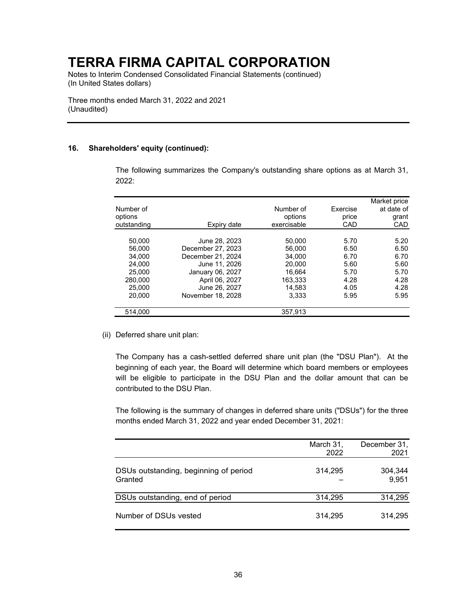Notes to Interim Condensed Consolidated Financial Statements (continued) (In United States dollars)

Three months ended March 31, 2022 and 2021 (Unaudited)

#### **16. Shareholders' equity (continued):**

The following summarizes the Company's outstanding share options as at March 31, 2022:

| Number of<br>options |                   | Number of<br>options | Exercise<br>price | Market price<br>at date of<br>grant |
|----------------------|-------------------|----------------------|-------------------|-------------------------------------|
| outstanding          | Expiry date       | exercisable          | CAD               | CAD                                 |
|                      |                   |                      |                   |                                     |
| 50.000               | June 28, 2023     | 50.000               | 5.70              | 5.20                                |
| 56.000               | December 27, 2023 | 56.000               | 6.50              | 6.50                                |
| 34.000               | December 21, 2024 | 34.000               | 6.70              | 6.70                                |
| 24.000               | June 11, 2026     | 20,000               | 5.60              | 5.60                                |
| 25,000               | January 06, 2027  | 16.664               | 5.70              | 5.70                                |
| 280,000              | April 06, 2027    | 163.333              | 4.28              | 4.28                                |
| 25.000               | June 26, 2027     | 14.583               | 4.05              | 4.28                                |
| 20.000               | November 18, 2028 | 3.333                | 5.95              | 5.95                                |
| 514.000              |                   | 357.913              |                   |                                     |

(ii) Deferred share unit plan:

The Company has a cash-settled deferred share unit plan (the "DSU Plan"). At the beginning of each year, the Board will determine which board members or employees will be eligible to participate in the DSU Plan and the dollar amount that can be contributed to the DSU Plan.

The following is the summary of changes in deferred share units ("DSUs") for the three months ended March 31, 2022 and year ended December 31, 2021:

|                                                  | March 31,<br>2022 | December 31,<br>2021 |
|--------------------------------------------------|-------------------|----------------------|
| DSUs outstanding, beginning of period<br>Granted | 314,295           | 304,344<br>9,951     |
| DSUs outstanding, end of period                  | 314,295           | 314,295              |
| Number of DSUs vested                            | 314,295           | 314.295              |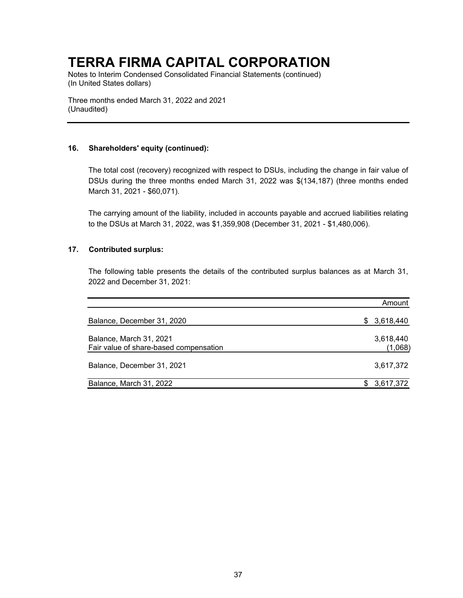Notes to Interim Condensed Consolidated Financial Statements (continued) (In United States dollars)

Three months ended March 31, 2022 and 2021 (Unaudited)

### **16. Shareholders' equity (continued):**

The total cost (recovery) recognized with respect to DSUs, including the change in fair value of DSUs during the three months ended March 31, 2022 was \$(134,187) (three months ended March 31, 2021 - \$60,071).

The carrying amount of the liability, included in accounts payable and accrued liabilities relating to the DSUs at March 31, 2022, was \$1,359,908 (December 31, 2021 - \$1,480,006).

### **17. Contributed surplus:**

The following table presents the details of the contributed surplus balances as at March 31, 2022 and December 31, 2021:

|                                                                   | Amount               |
|-------------------------------------------------------------------|----------------------|
| Balance, December 31, 2020                                        | 3,618,440<br>SS.     |
| Balance, March 31, 2021<br>Fair value of share-based compensation | 3,618,440<br>(1,068) |
| Balance, December 31, 2021                                        | 3,617,372            |
| Balance, March 31, 2022                                           | 3,617,372            |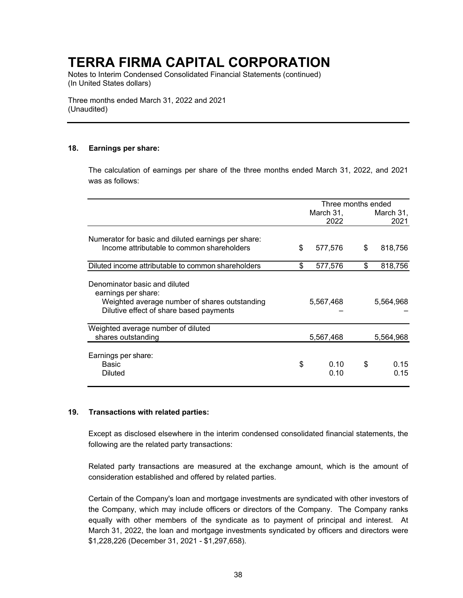Notes to Interim Condensed Consolidated Financial Statements (continued) (In United States dollars)

Three months ended March 31, 2022 and 2021 (Unaudited)

### **18. Earnings per share:**

The calculation of earnings per share of the three months ended March 31, 2022, and 2021 was as follows:

|                                                                                                                                                  | Three months ended |              |    |              |
|--------------------------------------------------------------------------------------------------------------------------------------------------|--------------------|--------------|----|--------------|
|                                                                                                                                                  |                    | March 31,    |    | March 31,    |
|                                                                                                                                                  |                    | 2022         |    | 2021         |
| Numerator for basic and diluted earnings per share:<br>Income attributable to common shareholders                                                | \$                 | 577,576      | \$ | 818,756      |
|                                                                                                                                                  |                    |              |    |              |
| Diluted income attributable to common shareholders                                                                                               | \$                 | 577,576      | \$ | 818,756      |
| Denominator basic and diluted<br>earnings per share:<br>Weighted average number of shares outstanding<br>Dilutive effect of share based payments |                    | 5,567,468    |    | 5,564,968    |
| Weighted average number of diluted<br>shares outstanding                                                                                         |                    | 5,567,468    |    | 5,564,968    |
| Earnings per share:<br>Basic<br><b>Diluted</b>                                                                                                   | \$                 | 0.10<br>0.10 | \$ | 0.15<br>0.15 |

#### **19. Transactions with related parties:**

Except as disclosed elsewhere in the interim condensed consolidated financial statements, the following are the related party transactions:

Related party transactions are measured at the exchange amount, which is the amount of consideration established and offered by related parties.

Certain of the Company's loan and mortgage investments are syndicated with other investors of the Company, which may include officers or directors of the Company. The Company ranks equally with other members of the syndicate as to payment of principal and interest. At March 31, 2022, the loan and mortgage investments syndicated by officers and directors were \$1,228,226 (December 31, 2021 - \$1,297,658).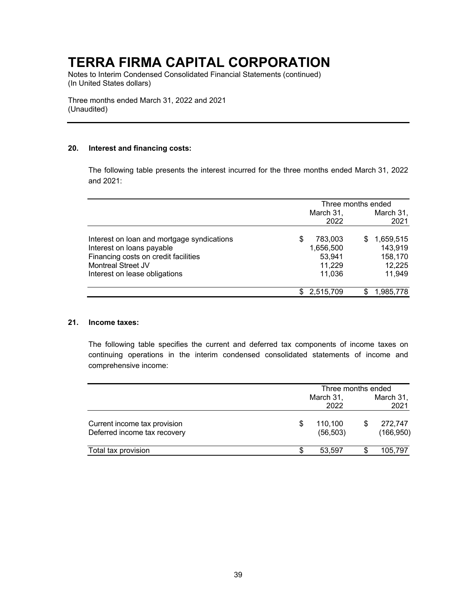Notes to Interim Condensed Consolidated Financial Statements (continued) (In United States dollars)

Three months ended March 31, 2022 and 2021 (Unaudited)

### **20. Interest and financing costs:**

The following table presents the interest incurred for the three months ended March 31, 2022 and 2021:

|                                            | Three months ended |             |    |           |
|--------------------------------------------|--------------------|-------------|----|-----------|
|                                            |                    | March 31,   |    | March 31, |
|                                            |                    | 2022        |    | 2021      |
| Interest on loan and mortgage syndications | S                  | 783,003     | S  | 1,659,515 |
| Interest on loans payable                  |                    | 1,656,500   |    | 143,919   |
| Financing costs on credit facilities       |                    | 53,941      |    | 158,170   |
| Montreal Street JV                         |                    | 11,229      |    | 12,225    |
| Interest on lease obligations              |                    | 11,036      |    | 11,949    |
|                                            |                    | \$2,515,709 | \$ | 1,985,778 |

### **21. Income taxes:**

The following table specifies the current and deferred tax components of income taxes on continuing operations in the interim condensed consolidated statements of income and comprehensive income:

|                                                              | Three months ended   |   |                       |  |  |
|--------------------------------------------------------------|----------------------|---|-----------------------|--|--|
|                                                              | March 31,<br>2022    |   | March 31,<br>2021     |  |  |
| Current income tax provision<br>Deferred income tax recovery | 110,100<br>(56, 503) | S | 272,747<br>(166, 950) |  |  |
| Total tax provision                                          | 53,597               |   | 105,797               |  |  |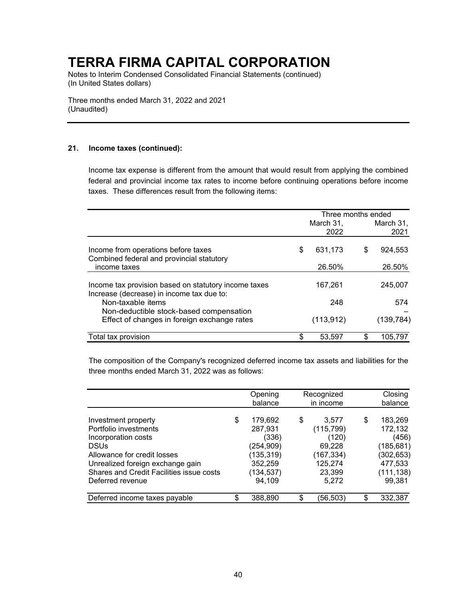Notes to Interim Condensed Consolidated Financial Statements (continued) (In United States dollars)

Three months ended March 31, 2022 and 2021 (Unaudited)

### **21. Income taxes (continued):**

Income tax expense is different from the amount that would result from applying the combined federal and provincial income tax rates to income before continuing operations before income taxes. These differences result from the following items:

|                                                                                                   | Three months ended |                   |    |                   |  |
|---------------------------------------------------------------------------------------------------|--------------------|-------------------|----|-------------------|--|
|                                                                                                   |                    | March 31.<br>2022 |    | March 31.<br>2021 |  |
| Income from operations before taxes<br>Combined federal and provincial statutory                  | \$                 | 631,173           | \$ | 924,553           |  |
| income taxes                                                                                      |                    | 26.50%            |    | 26.50%            |  |
| Income tax provision based on statutory income taxes<br>Increase (decrease) in income tax due to: |                    | 167,261           |    | 245.007           |  |
| Non-taxable items                                                                                 |                    | 248               |    | 574               |  |
| Non-deductible stock-based compensation<br>Effect of changes in foreign exchange rates            |                    | (113, 912)        |    | (139, 784)        |  |
| Total tax provision                                                                               |                    | 53.597            | \$ | 105.797           |  |

The composition of the Company's recognized deferred income tax assets and liabilities for the three months ended March 31, 2022 was as follows:

|                                                                                                                                                                                                                       | Opening<br>balance                                                                              |   | Recognized<br>in income                                                           | Closing<br>balance                                                                               |
|-----------------------------------------------------------------------------------------------------------------------------------------------------------------------------------------------------------------------|-------------------------------------------------------------------------------------------------|---|-----------------------------------------------------------------------------------|--------------------------------------------------------------------------------------------------|
| Investment property<br>Portfolio investments<br>Incorporation costs<br><b>DSUs</b><br>Allowance for credit losses<br>Unrealized foreign exchange gain<br>Shares and Credit Facilities issue costs<br>Deferred revenue | \$<br>179,692<br>287,931<br>(336)<br>(254, 909)<br>(135,319)<br>352,259<br>(134, 537)<br>94,109 | S | 3,577<br>(115, 799)<br>(120)<br>69,228<br>(167,334)<br>125,274<br>23,399<br>5,272 | \$<br>183,269<br>172,132<br>(456)<br>(185, 681)<br>(302, 653)<br>477,533<br>(111, 138)<br>99,381 |
| Deferred income taxes payable                                                                                                                                                                                         | \$<br>388,890                                                                                   |   | (56,503)                                                                          | \$<br>332,387                                                                                    |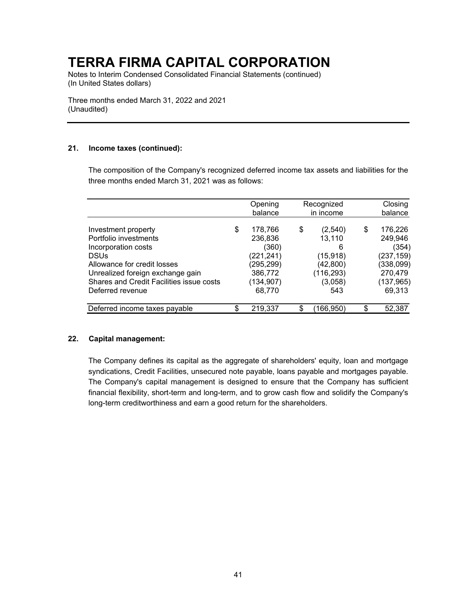Notes to Interim Condensed Consolidated Financial Statements (continued) (In United States dollars)

Three months ended March 31, 2022 and 2021 (Unaudited)

### **21. Income taxes (continued):**

The composition of the Company's recognized deferred income tax assets and liabilities for the three months ended March 31, 2021 was as follows:

|                                                                                                                                                       | Opening<br>balance                                                     | Recognized<br>in income                                             | Closing<br>balance                                                     |
|-------------------------------------------------------------------------------------------------------------------------------------------------------|------------------------------------------------------------------------|---------------------------------------------------------------------|------------------------------------------------------------------------|
| Investment property<br>Portfolio investments<br>Incorporation costs<br><b>DSUs</b><br>Allowance for credit losses<br>Unrealized foreign exchange gain | \$<br>178,766<br>236,836<br>(360)<br>(221,241)<br>(295,299)<br>386,772 | \$<br>(2,540)<br>13,110<br>6<br>(15, 918)<br>(42, 800)<br>(116,293) | \$<br>176,226<br>249,946<br>(354)<br>(237,159)<br>(338,099)<br>270,479 |
| Shares and Credit Facilities issue costs<br>Deferred revenue                                                                                          | (134,907)<br>68.770                                                    | (3,058)<br>543                                                      | (137, 965)<br>69,313                                                   |
| Deferred income taxes payable                                                                                                                         | \$<br>219,337                                                          | 166,950)                                                            | \$<br>52,387                                                           |

### **22. Capital management:**

The Company defines its capital as the aggregate of shareholders' equity, loan and mortgage syndications, Credit Facilities, unsecured note payable, loans payable and mortgages payable. The Company's capital management is designed to ensure that the Company has sufficient financial flexibility, short-term and long-term, and to grow cash flow and solidify the Company's long-term creditworthiness and earn a good return for the shareholders.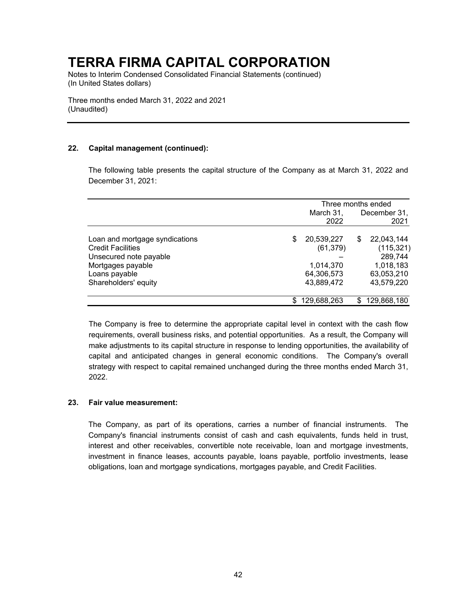Notes to Interim Condensed Consolidated Financial Statements (continued) (In United States dollars)

Three months ended March 31, 2022 and 2021 (Unaudited)

### **22. Capital management (continued):**

The following table presents the capital structure of the Company as at March 31, 2022 and December 31, 2021:

|                                | Three months ended |              |             |
|--------------------------------|--------------------|--------------|-------------|
|                                | March 31,          | December 31, |             |
|                                | 2022               |              | 2021        |
| Loan and mortgage syndications | \$<br>20,539,227   | S            | 22,043,144  |
| <b>Credit Facilities</b>       | (61, 379)          |              | (115, 321)  |
| Unsecured note payable         |                    |              | 289,744     |
| Mortgages payable              | 1,014,370          |              | 1,018,183   |
| Loans payable                  | 64,306,573         |              | 63,053,210  |
| Shareholders' equity           | 43,889,472         |              | 43,579,220  |
|                                | 129,688,263        | S.           | 129,868,180 |

The Company is free to determine the appropriate capital level in context with the cash flow requirements, overall business risks, and potential opportunities. As a result, the Company will make adjustments to its capital structure in response to lending opportunities, the availability of capital and anticipated changes in general economic conditions. The Company's overall strategy with respect to capital remained unchanged during the three months ended March 31, 2022.

### **23. Fair value measurement:**

The Company, as part of its operations, carries a number of financial instruments. The Company's financial instruments consist of cash and cash equivalents, funds held in trust, interest and other receivables, convertible note receivable, loan and mortgage investments, investment in finance leases, accounts payable, loans payable, portfolio investments, lease obligations, loan and mortgage syndications, mortgages payable, and Credit Facilities.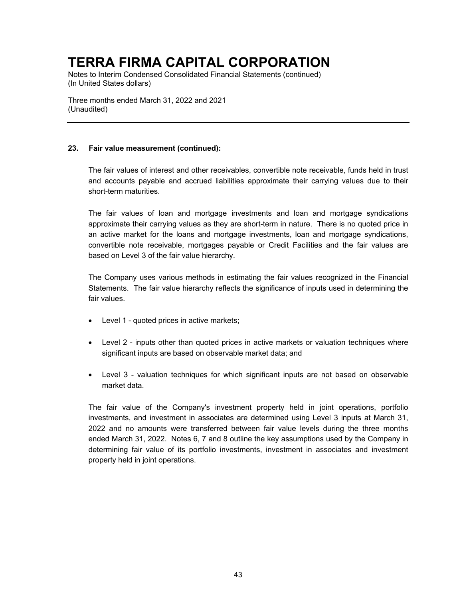Notes to Interim Condensed Consolidated Financial Statements (continued) (In United States dollars)

Three months ended March 31, 2022 and 2021 (Unaudited)

### **23. Fair value measurement (continued):**

The fair values of interest and other receivables, convertible note receivable, funds held in trust and accounts payable and accrued liabilities approximate their carrying values due to their short-term maturities.

The fair values of loan and mortgage investments and loan and mortgage syndications approximate their carrying values as they are short-term in nature. There is no quoted price in an active market for the loans and mortgage investments, loan and mortgage syndications, convertible note receivable, mortgages payable or Credit Facilities and the fair values are based on Level 3 of the fair value hierarchy.

The Company uses various methods in estimating the fair values recognized in the Financial Statements. The fair value hierarchy reflects the significance of inputs used in determining the fair values.

- Level 1 quoted prices in active markets;
- Level 2 inputs other than quoted prices in active markets or valuation techniques where significant inputs are based on observable market data; and
- Level 3 valuation techniques for which significant inputs are not based on observable market data.

The fair value of the Company's investment property held in joint operations, portfolio investments, and investment in associates are determined using Level 3 inputs at March 31, 2022 and no amounts were transferred between fair value levels during the three months ended March 31, 2022. Notes 6, 7 and 8 outline the key assumptions used by the Company in determining fair value of its portfolio investments, investment in associates and investment property held in joint operations.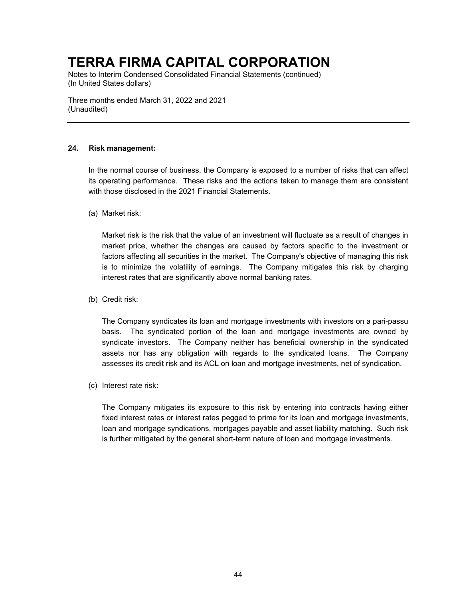Notes to Interim Condensed Consolidated Financial Statements (continued) (In United States dollars)

Three months ended March 31, 2022 and 2021 (Unaudited)

### **24. Risk management:**

In the normal course of business, the Company is exposed to a number of risks that can affect its operating performance. These risks and the actions taken to manage them are consistent with those disclosed in the 2021 Financial Statements.

(a) Market risk:

Market risk is the risk that the value of an investment will fluctuate as a result of changes in market price, whether the changes are caused by factors specific to the investment or factors affecting all securities in the market. The Company's objective of managing this risk is to minimize the volatility of earnings. The Company mitigates this risk by charging interest rates that are significantly above normal banking rates.

(b) Credit risk:

The Company syndicates its loan and mortgage investments with investors on a pari-passu basis. The syndicated portion of the loan and mortgage investments are owned by syndicate investors. The Company neither has beneficial ownership in the syndicated assets nor has any obligation with regards to the syndicated loans. The Company assesses its credit risk and its ACL on loan and mortgage investments, net of syndication.

(c) Interest rate risk:

The Company mitigates its exposure to this risk by entering into contracts having either fixed interest rates or interest rates pegged to prime for its loan and mortgage investments, loan and mortgage syndications, mortgages payable and asset liability matching. Such risk is further mitigated by the general short-term nature of loan and mortgage investments.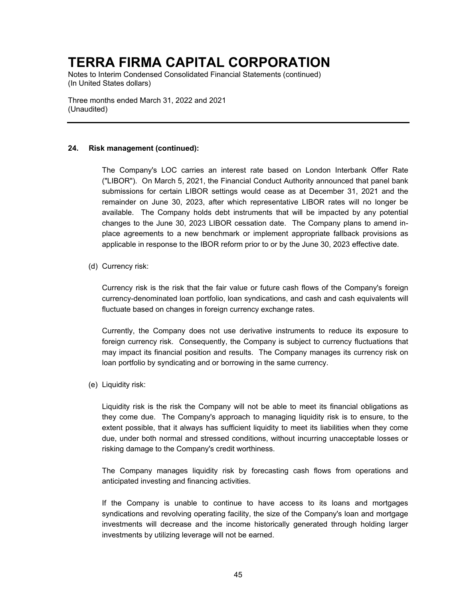Notes to Interim Condensed Consolidated Financial Statements (continued) (In United States dollars)

Three months ended March 31, 2022 and 2021 (Unaudited)

### **24. Risk management (continued):**

The Company's LOC carries an interest rate based on London Interbank Offer Rate ("LIBOR"). On March 5, 2021, the Financial Conduct Authority announced that panel bank submissions for certain LIBOR settings would cease as at December 31, 2021 and the remainder on June 30, 2023, after which representative LIBOR rates will no longer be available. The Company holds debt instruments that will be impacted by any potential changes to the June 30, 2023 LIBOR cessation date. The Company plans to amend inplace agreements to a new benchmark or implement appropriate fallback provisions as applicable in response to the IBOR reform prior to or by the June 30, 2023 effective date.

(d) Currency risk:

Currency risk is the risk that the fair value or future cash flows of the Company's foreign currency-denominated loan portfolio, loan syndications, and cash and cash equivalents will fluctuate based on changes in foreign currency exchange rates.

Currently, the Company does not use derivative instruments to reduce its exposure to foreign currency risk. Consequently, the Company is subject to currency fluctuations that may impact its financial position and results. The Company manages its currency risk on loan portfolio by syndicating and or borrowing in the same currency.

(e) Liquidity risk:

Liquidity risk is the risk the Company will not be able to meet its financial obligations as they come due. The Company's approach to managing liquidity risk is to ensure, to the extent possible, that it always has sufficient liquidity to meet its liabilities when they come due, under both normal and stressed conditions, without incurring unacceptable losses or risking damage to the Company's credit worthiness.

The Company manages liquidity risk by forecasting cash flows from operations and anticipated investing and financing activities.

If the Company is unable to continue to have access to its loans and mortgages syndications and revolving operating facility, the size of the Company's loan and mortgage investments will decrease and the income historically generated through holding larger investments by utilizing leverage will not be earned.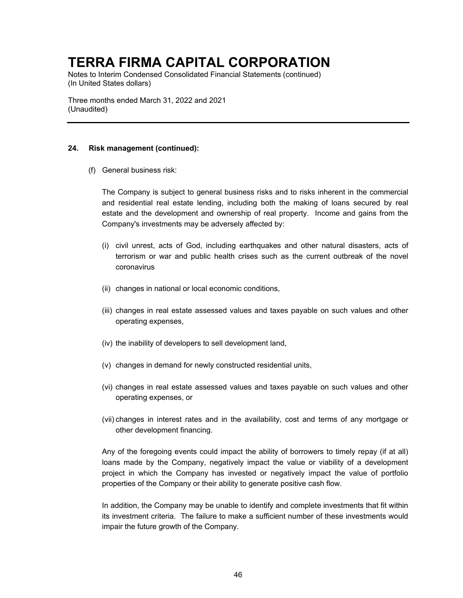Notes to Interim Condensed Consolidated Financial Statements (continued) (In United States dollars)

Three months ended March 31, 2022 and 2021 (Unaudited)

### **24. Risk management (continued):**

(f) General business risk:

The Company is subject to general business risks and to risks inherent in the commercial and residential real estate lending, including both the making of loans secured by real estate and the development and ownership of real property. Income and gains from the Company's investments may be adversely affected by:

- (i) civil unrest, acts of God, including earthquakes and other natural disasters, acts of terrorism or war and public health crises such as the current outbreak of the novel coronavirus
- (ii) changes in national or local economic conditions,
- (iii) changes in real estate assessed values and taxes payable on such values and other operating expenses,
- (iv) the inability of developers to sell development land,
- (v) changes in demand for newly constructed residential units,
- (vi) changes in real estate assessed values and taxes payable on such values and other operating expenses, or
- (vii) changes in interest rates and in the availability, cost and terms of any mortgage or other development financing.

Any of the foregoing events could impact the ability of borrowers to timely repay (if at all) loans made by the Company, negatively impact the value or viability of a development project in which the Company has invested or negatively impact the value of portfolio properties of the Company or their ability to generate positive cash flow.

In addition, the Company may be unable to identify and complete investments that fit within its investment criteria. The failure to make a sufficient number of these investments would impair the future growth of the Company.